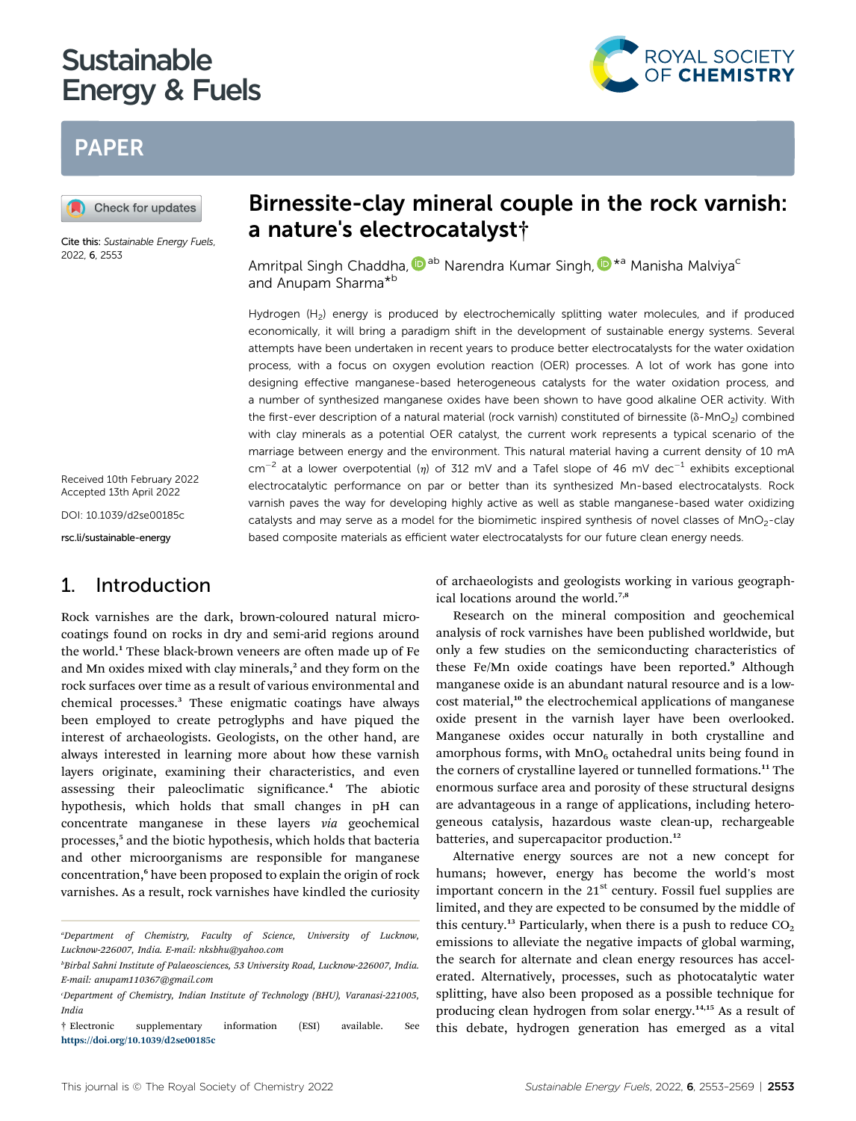# **Sustainable Energy & Fuels** energy and the function of  $\mathcal{L}_{\mathcal{A}}$



# PAPER



Cite this: Sustainable Energy Fuels, 2022, 6, 2553

Received 10th February 2022 Accepted 13th April 2022

DOI: 10.1039/d2se00185c

rsc.li/sustainable-energy

# 1. Introduction

Rock varnishes are the dark, brown-coloured natural microcoatings found on rocks in dry and semi-arid regions around the world.<sup>1</sup> These black-brown veneers are often made up of Fe and Mn oxides mixed with clay minerals,<sup>2</sup> and they form on the rock surfaces over time as a result of various environmental and chemical processes.<sup>3</sup> These enigmatic coatings have always been employed to create petroglyphs and have piqued the interest of archaeologists. Geologists, on the other hand, are always interested in learning more about how these varnish layers originate, examining their characteristics, and even assessing their paleoclimatic significance.<sup>4</sup> The abiotic hypothesis, which holds that small changes in pH can concentrate manganese in these layers via geochemical processes,<sup>5</sup> and the biotic hypothesis, which holds that bacteria and other microorganisms are responsible for manganese concentration,<sup>6</sup> have been proposed to explain the origin of rock varnishes. As a result, rock varnishes have kindled the curiosity

# Birnessite-clay mineral couple in the rock varnish: a nature's electrocatalyst†

Amritpal Singh Chaddha, <sup>Dab</sup> Narendra Kumar Singh, D<sup>\*a</sup> Manisha Malviya<sup>c</sup> and Anupam Sharma\*b

Hydrogen (H<sub>2</sub>) energy is produced by electrochemically splitting water molecules, and if produced economically, it will bring a paradigm shift in the development of sustainable energy systems. Several attempts have been undertaken in recent years to produce better electrocatalysts for the water oxidation process, with a focus on oxygen evolution reaction (OER) processes. A lot of work has gone into designing effective manganese-based heterogeneous catalysts for the water oxidation process, and a number of synthesized manganese oxides have been shown to have good alkaline OER activity. With the first-ever description of a natural material (rock varnish) constituted of birnessite ( $\delta$ -MnO<sub>2</sub>) combined with clay minerals as a potential OER catalyst, the current work represents a typical scenario of the marriage between energy and the environment. This natural material having a current density of 10 mA  $cm^{-2}$  at a lower overpotential ( $\eta$ ) of 312 mV and a Tafel slope of 46 mV dec<sup>-1</sup> exhibits exceptional electrocatalytic performance on par or better than its synthesized Mn-based electrocatalysts. Rock varnish paves the way for developing highly active as well as stable manganese-based water oxidizing catalysts and may serve as a model for the biomimetic inspired synthesis of novel classes of MnO<sub>2</sub>-clay based composite materials as efficient water electrocatalysts for our future clean energy needs.

> of archaeologists and geologists working in various geographical locations around the world.7,8

> Research on the mineral composition and geochemical analysis of rock varnishes have been published worldwide, but only a few studies on the semiconducting characteristics of these Fe/Mn oxide coatings have been reported.<sup>9</sup> Although manganese oxide is an abundant natural resource and is a lowcost material,<sup>10</sup> the electrochemical applications of manganese oxide present in the varnish layer have been overlooked. Manganese oxides occur naturally in both crystalline and amorphous forms, with  $MnO<sub>6</sub>$  octahedral units being found in the corners of crystalline layered or tunnelled formations.<sup>11</sup> The enormous surface area and porosity of these structural designs are advantageous in a range of applications, including heterogeneous catalysis, hazardous waste clean-up, rechargeable batteries, and supercapacitor production.<sup>12</sup>

> Alternative energy sources are not a new concept for humans; however, energy has become the world's most important concern in the  $21<sup>st</sup>$  century. Fossil fuel supplies are limited, and they are expected to be consumed by the middle of this century.<sup>13</sup> Particularly, when there is a push to reduce  $CO<sub>2</sub>$ emissions to alleviate the negative impacts of global warming, the search for alternate and clean energy resources has accelerated. Alternatively, processes, such as photocatalytic water splitting, have also been proposed as a possible technique for producing clean hydrogen from solar energy.<sup>14,15</sup> As a result of this debate, hydrogen generation has emerged as a vital

a Department of Chemistry, Faculty of Science, University of Lucknow, Lucknow-226007, India. E-mail: nksbhu@yahoo.com

b Birbal Sahni Institute of Palaeosciences, 53 University Road, Lucknow-226007, India. E-mail: anupam110367@gmail.com

c Department of Chemistry, Indian Institute of Technology (BHU), Varanasi-221005, India

<sup>†</sup> Electronic supplementary information (ESI) available. See <https://doi.org/10.1039/d2se00185c>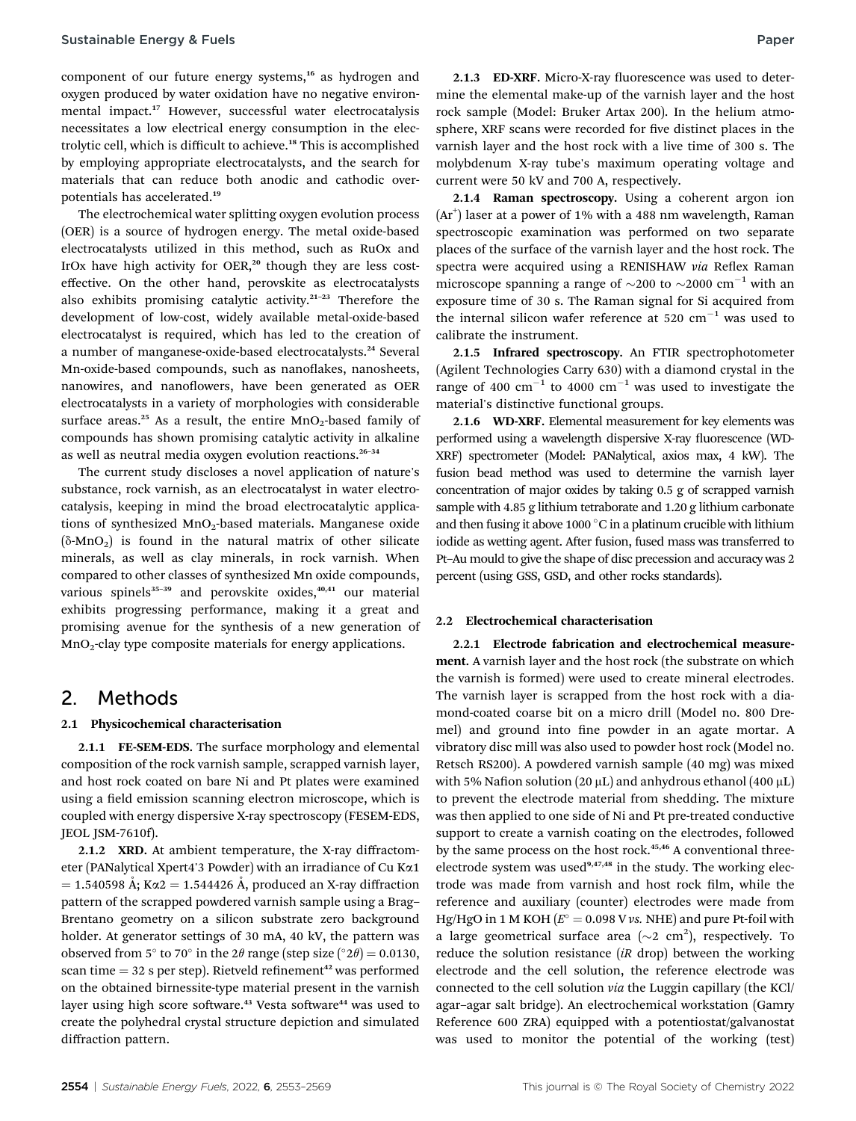component of our future energy systems,<sup>16</sup> as hydrogen and oxygen produced by water oxidation have no negative environmental impact.<sup>17</sup> However, successful water electrocatalysis necessitates a low electrical energy consumption in the electrolytic cell, which is difficult to achieve.<sup>18</sup> This is accomplished by employing appropriate electrocatalysts, and the search for materials that can reduce both anodic and cathodic overpotentials has accelerated.<sup>19</sup>

The electrochemical water splitting oxygen evolution process (OER) is a source of hydrogen energy. The metal oxide-based electrocatalysts utilized in this method, such as RuOx and IrOx have high activity for OER,<sup>20</sup> though they are less costeffective. On the other hand, perovskite as electrocatalysts also exhibits promising catalytic activity.<sup>21</sup>–<sup>23</sup> Therefore the development of low-cost, widely available metal-oxide-based electrocatalyst is required, which has led to the creation of a number of manganese-oxide-based electrocatalysts.<sup>24</sup> Several Mn-oxide-based compounds, such as nanoflakes, nanosheets, nanowires, and nanoflowers, have been generated as OER electrocatalysts in a variety of morphologies with considerable surface areas.<sup>25</sup> As a result, the entire  $MnO<sub>2</sub>$ -based family of compounds has shown promising catalytic activity in alkaline as well as neutral media oxygen evolution reactions.<sup>26-34</sup>

The current study discloses a novel application of nature's substance, rock varnish, as an electrocatalyst in water electrocatalysis, keeping in mind the broad electrocatalytic applications of synthesized  $MnO<sub>2</sub>$ -based materials. Manganese oxide  $(\delta-MnO_2)$  is found in the natural matrix of other silicate minerals, as well as clay minerals, in rock varnish. When compared to other classes of synthesized Mn oxide compounds, various spinels $35-39$  and perovskite oxides, $40,41$  our material exhibits progressing performance, making it a great and promising avenue for the synthesis of a new generation of MnO2-clay type composite materials for energy applications.

### 2. Methods

#### 2.1 Physicochemical characterisation

2.1.1 FE-SEM-EDS. The surface morphology and elemental composition of the rock varnish sample, scrapped varnish layer, and host rock coated on bare Ni and Pt plates were examined using a field emission scanning electron microscope, which is coupled with energy dispersive X-ray spectroscopy (FESEM-EDS, JEOL JSM-7610f).

2.1.2 XRD. At ambient temperature, the X-ray diffractometer (PANalytical Xpert4'3 Powder) with an irradiance of Cu Ka1  $= 1.540598$  Å; K $\alpha$ 2 = 1.544426 Å, produced an X-ray diffraction pattern of the scrapped powdered varnish sample using a Brag– Brentano geometry on a silicon substrate zero background holder. At generator settings of 30 mA, 40 kV, the pattern was observed from 5° to 70° in the 2 $\theta$  range (step size (°2 $\theta$ ) = 0.0130, scan time  $=$  32 s per step). Rietveld refinement<sup>42</sup> was performed on the obtained birnessite-type material present in the varnish layer using high score software.<sup>43</sup> Vesta software<sup>44</sup> was used to create the polyhedral crystal structure depiction and simulated diffraction pattern.

2.1.3 ED-XRF. Micro-X-ray fluorescence was used to determine the elemental make-up of the varnish layer and the host rock sample (Model: Bruker Artax 200). In the helium atmosphere, XRF scans were recorded for five distinct places in the varnish layer and the host rock with a live time of 300 s. The molybdenum X-ray tube's maximum operating voltage and current were 50 kV and 700 A, respectively.

2.1.4 Raman spectroscopy. Using a coherent argon ion (Ar<sup>+</sup>) laser at a power of 1% with a 488 nm wavelength, Raman spectroscopic examination was performed on two separate places of the surface of the varnish layer and the host rock. The spectra were acquired using a RENISHAW via Reflex Raman microscope spanning a range of  $\sim$ 200 to  $\sim$ 2000 cm<sup>-1</sup> with an exposure time of 30 s. The Raman signal for Si acquired from the internal silicon wafer reference at 520  $cm^{-1}$  was used to calibrate the instrument.

2.1.5 Infrared spectroscopy. An FTIR spectrophotometer (Agilent Technologies Carry 630) with a diamond crystal in the range of 400 cm<sup>-1</sup> to 4000 cm<sup>-1</sup> was used to investigate the material's distinctive functional groups.

2.1.6 WD-XRF. Elemental measurement for key elements was performed using a wavelength dispersive X-ray fluorescence (WD-XRF) spectrometer (Model: PANalytical, axios max, 4 kW). The fusion bead method was used to determine the varnish layer concentration of major oxides by taking 0.5 g of scrapped varnish sample with 4.85 g lithium tetraborate and 1.20 g lithium carbonate and then fusing it above 1000 $^{\circ}$ C in a platinum crucible with lithium iodide as wetting agent. After fusion, fused mass was transferred to Pt–Au mould to give the shape of disc precession and accuracy was 2 percent (using GSS, GSD, and other rocks standards).

#### 2.2 Electrochemical characterisation

2.2.1 Electrode fabrication and electrochemical measurement. A varnish layer and the host rock (the substrate on which the varnish is formed) were used to create mineral electrodes. The varnish layer is scrapped from the host rock with a diamond-coated coarse bit on a micro drill (Model no. 800 Dremel) and ground into fine powder in an agate mortar. A vibratory disc mill was also used to powder host rock (Model no. Retsch RS200). A powdered varnish sample (40 mg) was mixed with 5% Nafion solution (20  $\mu$ L) and anhydrous ethanol (400  $\mu$ L) to prevent the electrode material from shedding. The mixture was then applied to one side of Ni and Pt pre-treated conductive support to create a varnish coating on the electrodes, followed by the same process on the host rock.<sup>45,46</sup> A conventional threeelectrode system was used<sup>9,47,48</sup> in the study. The working electrode was made from varnish and host rock film, while the reference and auxiliary (counter) electrodes were made from Hg/HgO in 1 M KOH ( $E^{\circ} = 0.098$  V vs. NHE) and pure Pt-foil with a large geometrical surface area ( $\sim$ 2 cm<sup>2</sup>), respectively. To reduce the solution resistance  $(iR \text{ drop})$  between the working electrode and the cell solution, the reference electrode was connected to the cell solution via the Luggin capillary (the KCl/ agar–agar salt bridge). An electrochemical workstation (Gamry Reference 600 ZRA) equipped with a potentiostat/galvanostat was used to monitor the potential of the working (test)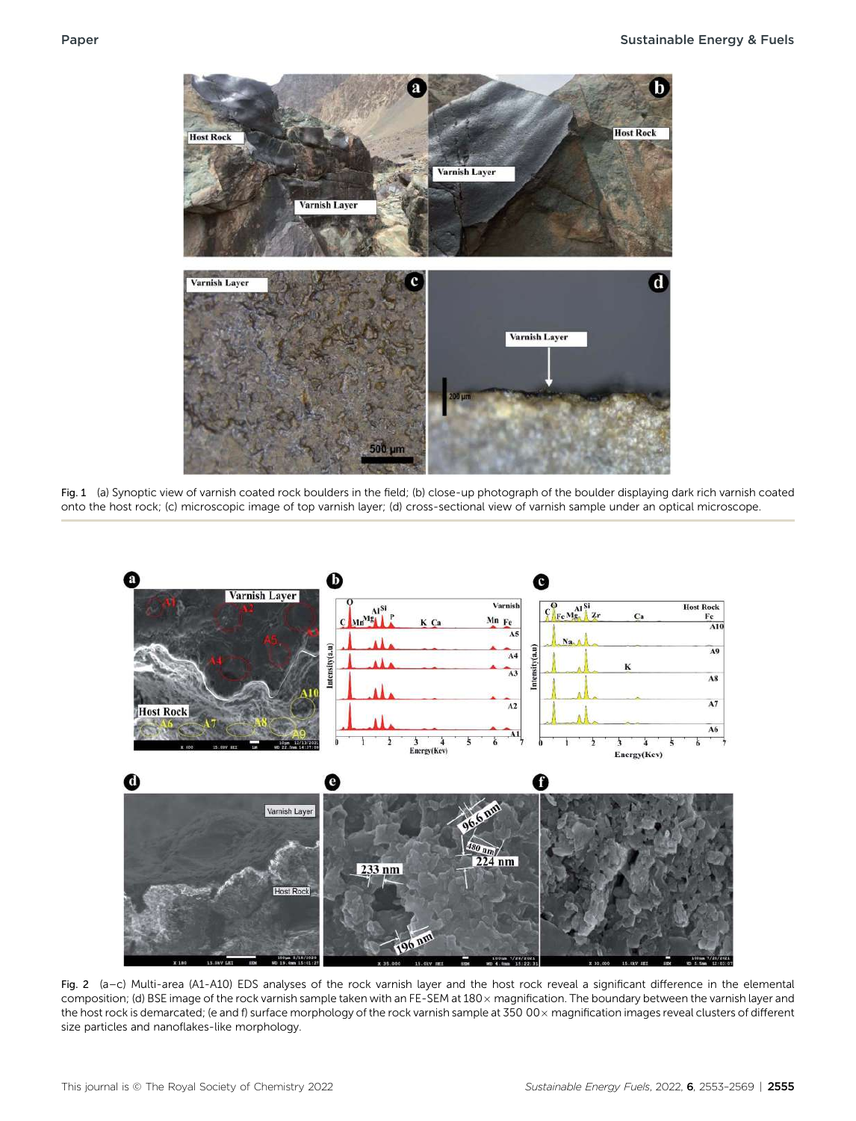

Fig. 1 (a) Synoptic view of varnish coated rock boulders in the field; (b) close-up photograph of the boulder displaying dark rich varnish coated onto the host rock; (c) microscopic image of top varnish layer; (d) cross-sectional view of varnish sample under an optical microscope.



Fig. 2 (a–c) Multi-area (A1-A10) EDS analyses of the rock varnish layer and the host rock reveal a significant difference in the elemental composition; (d) BSE image of the rock varnish sample taken with an FE-SEM at 180 x magnification. The boundary between the varnish layer and the host rock is demarcated; (e and f) surface morphology of the rock varnish sample at  $35000 \times$  magnification images reveal clusters of different size particles and nanoflakes-like morphology.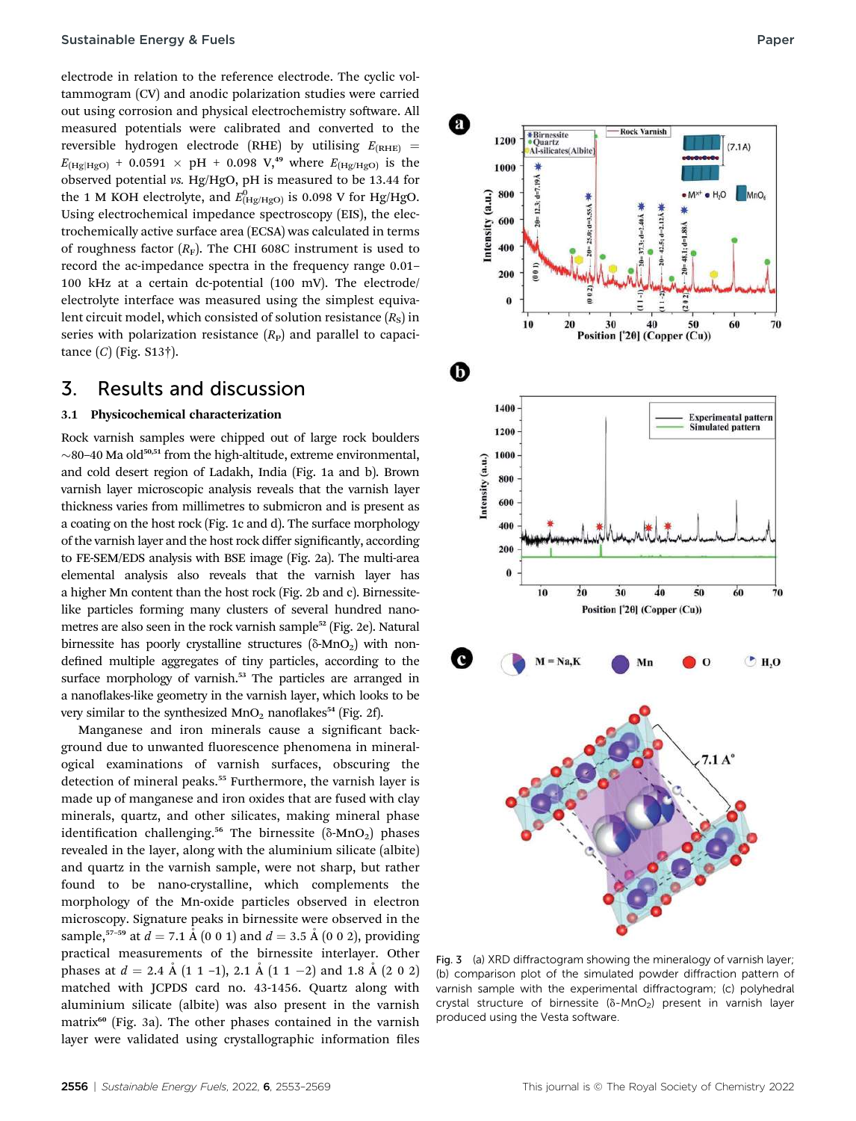electrode in relation to the reference electrode. The cyclic voltammogram (CV) and anodic polarization studies were carried out using corrosion and physical electrochemistry software. All measured potentials were calibrated and converted to the reversible hydrogen electrode (RHE) by utilising  $E_{(RHE)}$  =  $E_{\text{[Hg/Hgo]}} + 0.0591 \times pH + 0.098 \text{ V}^{49}$  where  $E_{\text{[Hg/Hgo]}}$  is the observed potential vs. Hg/HgO, pH is measured to be 13.44 for the 1 M KOH electrolyte, and  $E_{\rm (Hg/HgO)}^{0}$  is 0.098 V for Hg/HgO. Using electrochemical impedance spectroscopy (EIS), the electrochemically active surface area (ECSA) was calculated in terms of roughness factor  $(R_F)$ . The CHI 608C instrument is used to record the ac-impedance spectra in the frequency range 0.01– 100 kHz at a certain dc-potential (100 mV). The electrode/ electrolyte interface was measured using the simplest equivalent circuit model, which consisted of solution resistance  $(R<sub>s</sub>)$  in series with polarization resistance  $(R<sub>P</sub>)$  and parallel to capacitance  $(C)$  (Fig. S13†).

### 3. Results and discussion

#### 3.1 Physicochemical characterization

Rock varnish samples were chipped out of large rock boulders  $\sim$ 80–40 Ma old<sup>50,51</sup> from the high-altitude, extreme environmental, and cold desert region of Ladakh, India (Fig. 1a and b). Brown varnish layer microscopic analysis reveals that the varnish layer thickness varies from millimetres to submicron and is present as a coating on the host rock (Fig. 1c and d). The surface morphology of the varnish layer and the host rock differ signicantly, according to FE-SEM/EDS analysis with BSE image (Fig. 2a). The multi-area elemental analysis also reveals that the varnish layer has a higher Mn content than the host rock (Fig. 2b and c). Birnessitelike particles forming many clusters of several hundred nanometres are also seen in the rock varnish sample<sup>52</sup> (Fig. 2e). Natural birnessite has poorly crystalline structures ( $\delta$ -MnO<sub>2</sub>) with nondefined multiple aggregates of tiny particles, according to the surface morphology of varnish.<sup>53</sup> The particles are arranged in a nanoflakes-like geometry in the varnish layer, which looks to be very similar to the synthesized  $MnO<sub>2</sub>$  nanoflakes<sup>54</sup> (Fig. 2f).

Manganese and iron minerals cause a significant background due to unwanted fluorescence phenomena in mineralogical examinations of varnish surfaces, obscuring the detection of mineral peaks.<sup>55</sup> Furthermore, the varnish layer is made up of manganese and iron oxides that are fused with clay minerals, quartz, and other silicates, making mineral phase identification challenging.<sup>56</sup> The birnessite ( $\delta$ -MnO<sub>2</sub>) phases revealed in the layer, along with the aluminium silicate (albite) and quartz in the varnish sample, were not sharp, but rather found to be nano-crystalline, which complements the morphology of the Mn-oxide particles observed in electron microscopy. Signature peaks in birnessite were observed in the sample,<sup>57–59</sup> at  $d = 7.1 \text{ Å}$  (0 0 1) and  $d = 3.5 \text{ Å}$  (0 0 2), providing practical measurements of the birnessite interlayer. Other phases at  $d = 2.4 \text{ Å} (1 \ 1 \ -1), 2.1 \text{ Å} (1 \ 1 \ -2)$  and 1.8 Å (2 0 2) matched with JCPDS card no. 43-1456. Quartz along with aluminium silicate (albite) was also present in the varnish matrix<sup>60</sup> (Fig. 3a). The other phases contained in the varnish layer were validated using crystallographic information files



Fig. 3 (a) XRD diffractogram showing the mineralogy of varnish layer; (b) comparison plot of the simulated powder diffraction pattern of varnish sample with the experimental diffractogram; (c) polyhedral crystal structure of birnessite  $(\delta - MnO_2)$  present in varnish layer produced using the Vesta software.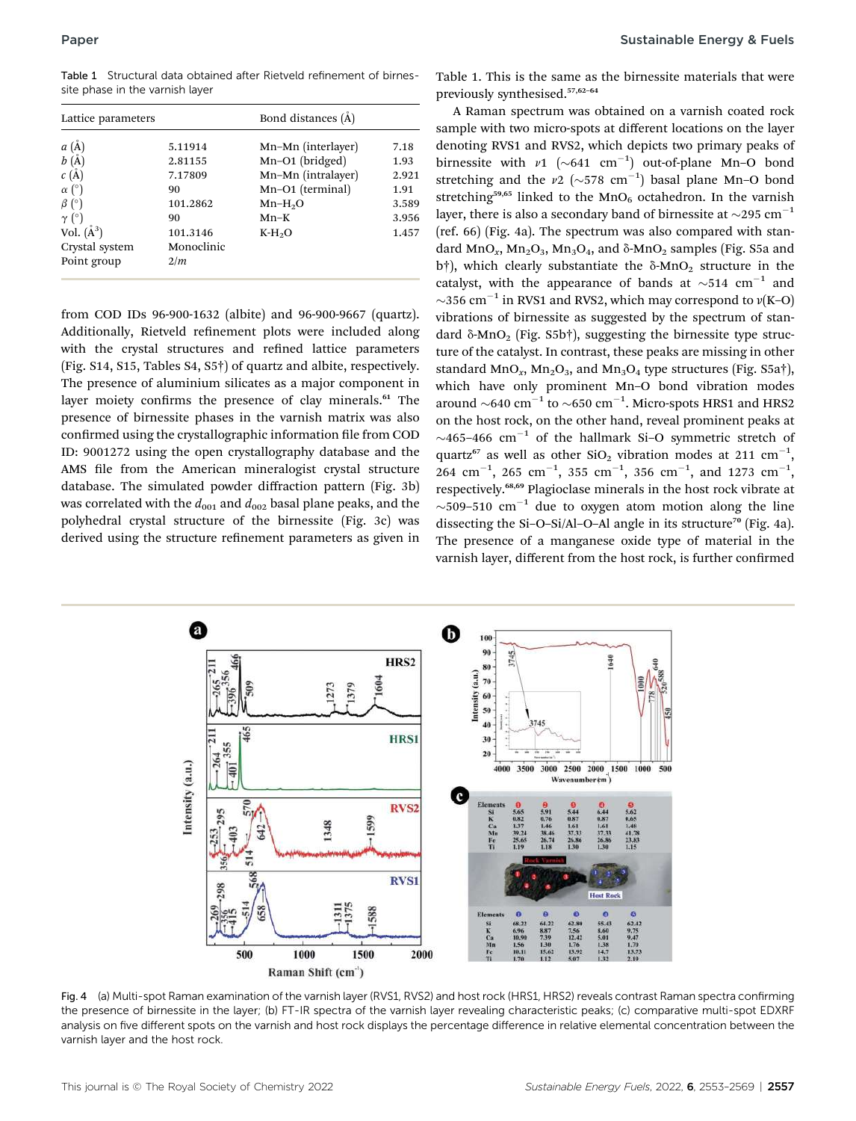Table 1 Structural data obtained after Rietveld refinement of birnessite phase in the varnish layer

| Lattice parameters |            | Bond distances (A) |       |  |  |
|--------------------|------------|--------------------|-------|--|--|
| a(A)               | 5.11914    | Mn-Mn (interlayer) | 7.18  |  |  |
| b(A)               | 2.81155    | Mn-O1 (bridged)    | 1.93  |  |  |
| $c(\AA)$           | 7.17809    | Mn-Mn (intralayer) | 2.921 |  |  |
| $\alpha$ (°)       | 90         | Mn-O1 (terminal)   | 1.91  |  |  |
| $\beta$ (°)        | 101.2862   | $Mn-H2O$           | 3.589 |  |  |
| $\gamma$ (°)       | 90         | $Mn-K$             | 3.956 |  |  |
| Vol. $(\AA^3)$     | 101.3146   | $K-H2O$            | 1.457 |  |  |
| Crystal system     | Monoclinic |                    |       |  |  |
| Point group        | 2/m        |                    |       |  |  |

from COD IDs 96-900-1632 (albite) and 96-900-9667 (quartz). Additionally, Rietveld refinement plots were included along with the crystal structures and refined lattice parameters (Fig. S14, S15, Tables S4, S5†) of quartz and albite, respectively. The presence of aluminium silicates as a major component in layer moiety confirms the presence of clay minerals.<sup>61</sup> The presence of birnessite phases in the varnish matrix was also confirmed using the crystallographic information file from COD ID: 9001272 using the open crystallography database and the AMS file from the American mineralogist crystal structure database. The simulated powder diffraction pattern (Fig. 3b) was correlated with the  $d_{001}$  and  $d_{002}$  basal plane peaks, and the polyhedral crystal structure of the birnessite (Fig. 3c) was derived using the structure refinement parameters as given in Table 1. This is the same as the birnessite materials that were previously synthesised.57,62–<sup>64</sup>

A Raman spectrum was obtained on a varnish coated rock sample with two micro-spots at different locations on the layer denoting RVS1 and RVS2, which depicts two primary peaks of birnessite with  $v1$  (~641 cm<sup>-1</sup>) out-of-plane Mn-O bond<br>stretching and the  $v2$  (~578 cm<sup>-1</sup>) basel plane Mn-O bond stretching and the  $\nu$ 2 ( $\sim$ 578 cm<sup>-1</sup>) basal plane Mn-O bond<br>stretching<sup>59,65</sup> linked to the MnO, octobedron. In the varnish stretching<sup>59,65</sup> linked to the MnO<sub>6</sub> octahedron. In the varnish layer, there is also a secondary band of birnessite at  $\sim$ 295 cm<sup>-1</sup> (ref. 66) (Fig. 4a). The spectrum was also compared with standard MnO<sub>r</sub>, Mn<sub>2</sub>O<sub>3</sub>, Mn<sub>3</sub>O<sub>4</sub>, and  $\delta$ -MnO<sub>2</sub> samples (Fig. S5a and b†), which clearly substantiate the  $\delta$ -MnO<sub>2</sub> structure in the catalyst, with the appearance of bands at  $\sim$ 514 cm<sup>-1</sup> and  $\sim$ 356 cm<sup>-1</sup> in RVS1 and RVS2, which may correspond to  $\nu$ (K–O) vibrations of birnessite as suggested by the spectrum of standard  $\delta$ -MnO<sub>2</sub> (Fig. S5b†), suggesting the birnessite type structure of the catalyst. In contrast, these peaks are missing in other standard MnO<sub>x</sub>, Mn<sub>2</sub>O<sub>3</sub>, and Mn<sub>3</sub>O<sub>4</sub> type structures (Fig. S5a†), which have only prominent Mn–O bond vibration modes around  $\sim$ 640 cm<sup>-1</sup> to  $\sim$ 650 cm<sup>-1</sup>. Micro-spots HRS1 and HRS2 on the host rock, on the other hand, reveal prominent peaks at  $\sim$ 465–466 cm<sup>-1</sup> of the hallmark Si-O symmetric stretch of quartz<sup>67</sup> as well as other  $SiO_2$  vibration modes at 211 cm<sup>-1</sup>,  $264$   $\text{cm}^{-1}$ ,  $265$   $\text{cm}^{-1}$ ,  $355$   $\text{cm}^{-1}$ ,  $356$   $\text{cm}^{-1}$ , and  $1273$   $\text{cm}^{-1}$ , respectively.68,69 Plagioclase minerals in the host rock vibrate at  $\sim$ 509–510 cm<sup>-1</sup> due to oxygen atom motion along the line dissecting the Si-O-Si/Al-O-Al angle in its structure<sup>70</sup> (Fig. 4a). The presence of a manganese oxide type of material in the varnish layer, different from the host rock, is further confirmed



Fig. 4 (a) Multi-spot Raman examination of the varnish layer (RVS1, RVS2) and host rock (HRS1, HRS2) reveals contrast Raman spectra confirming the presence of birnessite in the layer; (b) FT-IR spectra of the varnish layer revealing characteristic peaks; (c) comparative multi-spot EDXRF analysis on five different spots on the varnish and host rock displays the percentage difference in relative elemental concentration between the varnish layer and the host rock.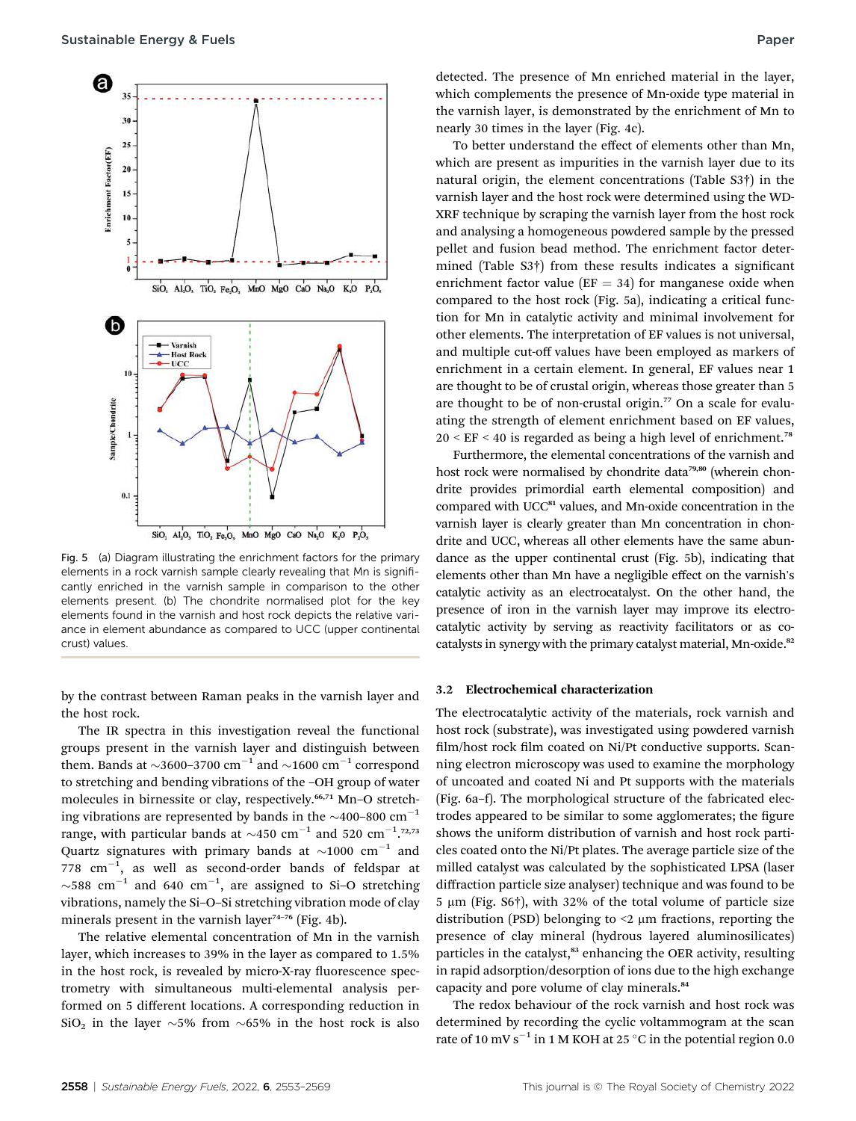

Fig. 5 (a) Diagram illustrating the enrichment factors for the primary elements in a rock varnish sample clearly revealing that Mn is significantly enriched in the varnish sample in comparison to the other elements present. (b) The chondrite normalised plot for the key elements found in the varnish and host rock depicts the relative variance in element abundance as compared to UCC (upper continental crust) values.

by the contrast between Raman peaks in the varnish layer and the host rock.

The IR spectra in this investigation reveal the functional groups present in the varnish layer and distinguish between them. Bands at  $\sim$ 3600–3700 cm<sup>-1</sup> and  $\sim$ 1600 cm<sup>-1</sup> correspond to stretching and bending vibrations of the –OH group of water molecules in birnessite or clay, respectively.<sup>66,71</sup> Mn-O stretching vibrations are represented by bands in the  $\sim$ 400–800 cm<sup>-1</sup> range, with particular bands at  $\sim$ 450 cm<sup>-1</sup> and 520 cm<sup>-1</sup>.<sup>72,73</sup> Quartz signatures with primary bands at  $\sim$ 1000 cm<sup>-1</sup> and  $778$   $cm^{-1}$ , as well as second-order bands of feldspar at  $\sim$ 588 cm $^{-1}$  and 640 cm $^{-1}$ , are assigned to Si-O stretching vibrations, namely the Si–O–Si stretching vibration mode of clay minerals present in the varnish layer<sup>74-76</sup> (Fig. 4b).

The relative elemental concentration of Mn in the varnish layer, which increases to 39% in the layer as compared to 1.5% in the host rock, is revealed by micro-X-ray fluorescence spectrometry with simultaneous multi-elemental analysis performed on 5 different locations. A corresponding reduction in SiO<sub>2</sub> in the layer  $\sim$  5% from  $\sim$  65% in the host rock is also

detected. The presence of Mn enriched material in the layer, which complements the presence of Mn-oxide type material in the varnish layer, is demonstrated by the enrichment of Mn to nearly 30 times in the layer (Fig. 4c).

To better understand the effect of elements other than Mn, which are present as impurities in the varnish layer due to its natural origin, the element concentrations (Table S3†) in the varnish layer and the host rock were determined using the WD-XRF technique by scraping the varnish layer from the host rock and analysing a homogeneous powdered sample by the pressed pellet and fusion bead method. The enrichment factor determined (Table S3†) from these results indicates a significant enrichment factor value ( $EF = 34$ ) for manganese oxide when compared to the host rock (Fig. 5a), indicating a critical function for Mn in catalytic activity and minimal involvement for other elements. The interpretation of EF values is not universal, and multiple cut-off values have been employed as markers of enrichment in a certain element. In general, EF values near 1 are thought to be of crustal origin, whereas those greater than 5 are thought to be of non-crustal origin.<sup>77</sup> On a scale for evaluating the strength of element enrichment based on EF values,  $20 \leq EF \leq 40$  is regarded as being a high level of enrichment.<sup>78</sup>

Furthermore, the elemental concentrations of the varnish and host rock were normalised by chondrite data<sup>79,80</sup> (wherein chondrite provides primordial earth elemental composition) and compared with UCC<sup>81</sup> values, and Mn-oxide concentration in the varnish layer is clearly greater than Mn concentration in chondrite and UCC, whereas all other elements have the same abundance as the upper continental crust (Fig. 5b), indicating that elements other than Mn have a negligible effect on the varnish's catalytic activity as an electrocatalyst. On the other hand, the presence of iron in the varnish layer may improve its electrocatalytic activity by serving as reactivity facilitators or as cocatalysts in synergy with the primary catalyst material, Mn-oxide.<sup>82</sup>

#### 3.2 Electrochemical characterization

The electrocatalytic activity of the materials, rock varnish and host rock (substrate), was investigated using powdered varnish film/host rock film coated on Ni/Pt conductive supports. Scanning electron microscopy was used to examine the morphology of uncoated and coated Ni and Pt supports with the materials (Fig. 6a–f). The morphological structure of the fabricated electrodes appeared to be similar to some agglomerates; the figure shows the uniform distribution of varnish and host rock particles coated onto the Ni/Pt plates. The average particle size of the milled catalyst was calculated by the sophisticated LPSA (laser diffraction particle size analyser) technique and was found to be  $5 \mu m$  (Fig. S6†), with 32% of the total volume of particle size distribution (PSD) belonging to  $\leq$   $\mu$ m fractions, reporting the presence of clay mineral (hydrous layered aluminosilicates) particles in the catalyst,<sup>83</sup> enhancing the OER activity, resulting in rapid adsorption/desorption of ions due to the high exchange capacity and pore volume of clay minerals.<sup>84</sup>

The redox behaviour of the rock varnish and host rock was determined by recording the cyclic voltammogram at the scan rate of 10 mV s<sup>-1</sup> in 1 M KOH at 25 °C in the potential region 0.0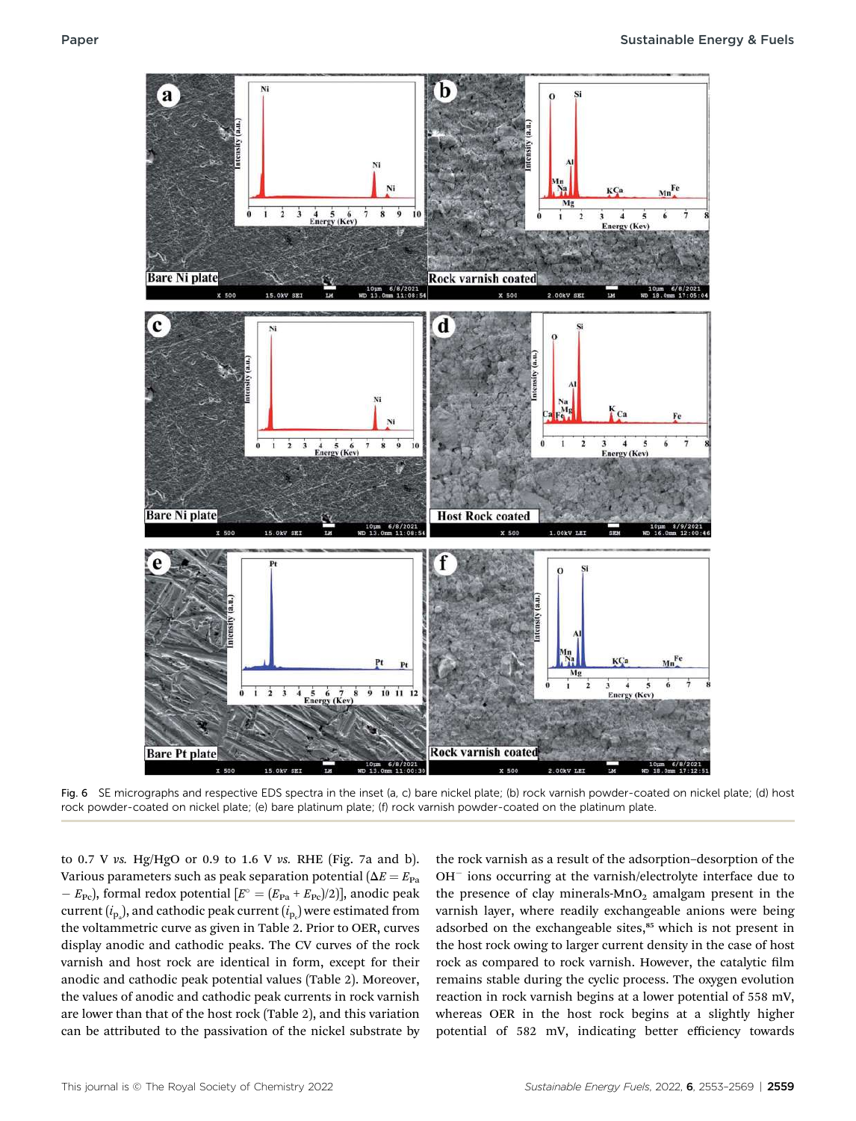

Fig. 6 SE micrographs and respective EDS spectra in the inset (a, c) bare nickel plate; (b) rock varnish powder-coated on nickel plate; (d) host rock powder-coated on nickel plate; (e) bare platinum plate; (f) rock varnish powder-coated on the platinum plate.

to 0.7 V vs. Hg/HgO or 0.9 to 1.6 V vs. RHE (Fig. 7a and b). Various parameters such as peak separation potential ( $\Delta E = E_{Pa}$ )  $-E_{\text{Pe}}$ , formal redox potential  $[E^{\circ} = (E_{\text{Pa}} + E_{\text{Pe}})/2]$ , anodic peak current  $(i_{\rm p_{\rm a}})$ , and cathodic peak current  $(i_{\rm p_{\rm c}})$  were estimated from the voltammetric curve as given in Table 2. Prior to OER, curves display anodic and cathodic peaks. The CV curves of the rock varnish and host rock are identical in form, except for their anodic and cathodic peak potential values (Table 2). Moreover, the values of anodic and cathodic peak currents in rock varnish are lower than that of the host rock (Table 2), and this variation can be attributed to the passivation of the nickel substrate by

the rock varnish as a result of the adsorption–desorption of the  $OH<sup>-</sup>$  ions occurring at the varnish/electrolyte interface due to the presence of clay minerals- $MnO<sub>2</sub>$  amalgam present in the varnish layer, where readily exchangeable anions were being adsorbed on the exchangeable sites,<sup>85</sup> which is not present in the host rock owing to larger current density in the case of host rock as compared to rock varnish. However, the catalytic film remains stable during the cyclic process. The oxygen evolution reaction in rock varnish begins at a lower potential of 558 mV, whereas OER in the host rock begins at a slightly higher potential of 582 mV, indicating better efficiency towards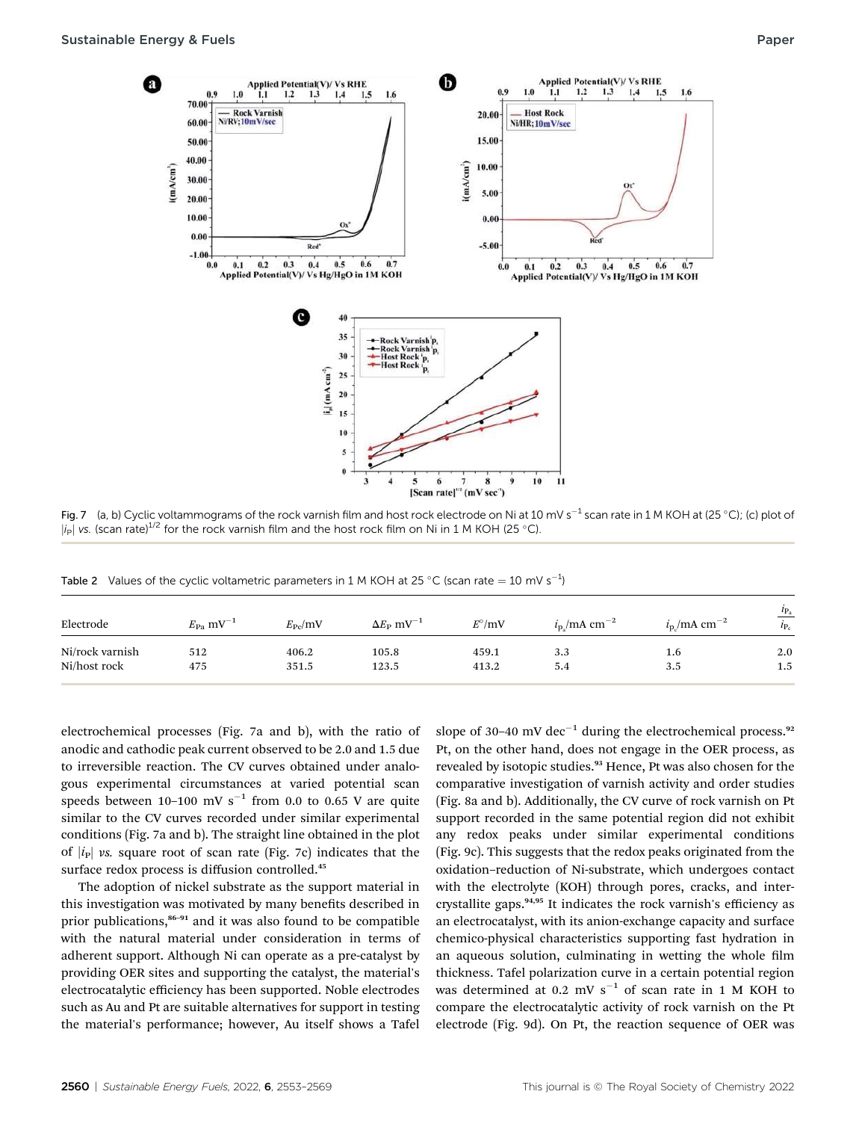

Fig. 7 (a, b) Cyclic voltammograms of the rock varnish film and host rock electrode on Ni at 10 mV s<sup>-1</sup> scan rate in 1 M KOH at (25 °C); (c) plot of  $|i_P|$  vs. (scan rate)<sup>1/2</sup> for the rock varnish film and the host rock film on Ni in 1 M KOH (25 °C).

Table 2 Values of the cyclic voltametric parameters in 1 M KOH at 25 °C (scan rate  $=$  10 mV s<sup>-1</sup>)

| Electrode       | $E_{\text{Pa}}$ mV <sup>-1</sup> | $E_{\rm{Pc}}$ /mV | $\Delta E_{\rm P}$ mV <sup>-1</sup> | $E^{\circ}/mV$ | $i_{\rm p}$ /mA cm <sup>-2</sup> | $i_{\rm p}$ /mA cm <sup>-2</sup> | $l_{\rm P_a}$<br>$i_{P_c}$ |
|-----------------|----------------------------------|-------------------|-------------------------------------|----------------|----------------------------------|----------------------------------|----------------------------|
| Ni/rock varnish | 512                              | 406.2             | 105.8                               | 459.1          | 3.3                              | 1.6                              | 2.0                        |
| Ni/host rock    | 475                              | 351.5             | 123.5                               | 413.2          | 5.4                              | 3.5                              | $1.5\,$                    |

electrochemical processes (Fig. 7a and b), with the ratio of anodic and cathodic peak current observed to be 2.0 and 1.5 due to irreversible reaction. The CV curves obtained under analogous experimental circumstances at varied potential scan speeds between 10-100 mV  $s^{-1}$  from 0.0 to 0.65 V are quite similar to the CV curves recorded under similar experimental conditions (Fig. 7a and b). The straight line obtained in the plot of  $|i_{\rm P}|$  vs. square root of scan rate (Fig. 7c) indicates that the surface redox process is diffusion controlled.<sup>45</sup>

The adoption of nickel substrate as the support material in this investigation was motivated by many benefits described in prior publications,<sup>86–91</sup> and it was also found to be compatible with the natural material under consideration in terms of adherent support. Although Ni can operate as a pre-catalyst by providing OER sites and supporting the catalyst, the material's electrocatalytic efficiency has been supported. Noble electrodes such as Au and Pt are suitable alternatives for support in testing the material's performance; however, Au itself shows a Tafel slope of 30–40 mV dec<sup>-1</sup> during the electrochemical process.<sup>92</sup> Pt, on the other hand, does not engage in the OER process, as revealed by isotopic studies.<sup>93</sup> Hence, Pt was also chosen for the comparative investigation of varnish activity and order studies (Fig. 8a and b). Additionally, the CV curve of rock varnish on Pt support recorded in the same potential region did not exhibit any redox peaks under similar experimental conditions (Fig. 9c). This suggests that the redox peaks originated from the oxidation–reduction of Ni-substrate, which undergoes contact with the electrolyte (KOH) through pores, cracks, and intercrystallite gaps.<sup>94,95</sup> It indicates the rock varnish's efficiency as an electrocatalyst, with its anion-exchange capacity and surface chemico-physical characteristics supporting fast hydration in an aqueous solution, culminating in wetting the whole film thickness. Tafel polarization curve in a certain potential region was determined at 0.2 mV  $s^{-1}$  of scan rate in 1 M KOH to compare the electrocatalytic activity of rock varnish on the Pt electrode (Fig. 9d). On Pt, the reaction sequence of OER was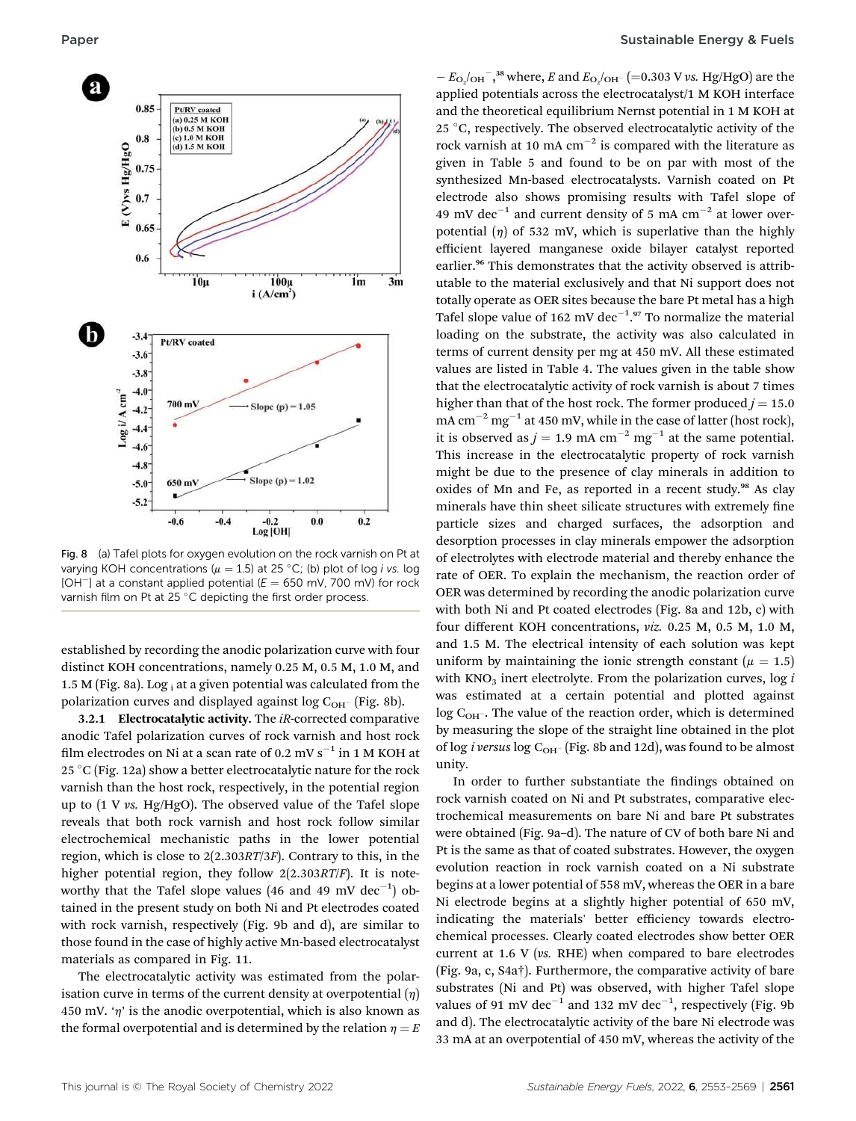

Fig. 8 (a) Tafel plots for oxygen evolution on the rock varnish on Pt at varying KOH concentrations ( $\mu = 1.5$ ) at 25 °C; (b) plot of log *i vs.* log [OH<sup>-</sup>] at a constant applied potential ( $E = 650$  mV, 700 mV) for rock varnish film on Pt at 25 °C depicting the first order process.

established by recording the anodic polarization curve with four distinct KOH concentrations, namely 0.25 M, 0.5 M, 1.0 M, and 1.5 M (Fig. 8a). Log i at a given potential was calculated from the polarization curves and displayed against log  $C_{OH}$  (Fig. 8b).

3.2.1 Electrocatalytic activity. The iR-corrected comparative anodic Tafel polarization curves of rock varnish and host rock film electrodes on Ni at a scan rate of 0.2 mV  $s^{-1}$  in 1 M KOH at 25 °C (Fig. 12a) show a better electrocatalytic nature for the rock varnish than the host rock, respectively, in the potential region up to (1 V vs. Hg/HgO). The observed value of the Tafel slope reveals that both rock varnish and host rock follow similar electrochemical mechanistic paths in the lower potential region, which is close to 2(2.303RT/3F). Contrary to this, in the higher potential region, they follow  $2(2.303RT/F)$ . It is noteworthy that the Tafel slope values (46 and 49 mV  $dec^{-1}$ ) obtained in the present study on both Ni and Pt electrodes coated with rock varnish, respectively (Fig. 9b and d), are similar to those found in the case of highly active Mn-based electrocatalyst materials as compared in Fig. 11.

The electrocatalytic activity was estimated from the polarisation curve in terms of the current density at overpotential  $(\eta)$ 450 mV. ' $\eta$ ' is the anodic overpotential, which is also known as the formal overpotential and is determined by the relation  $\eta = E$ 

 $-E_{\text{O}_2/\text{OH}}$ <sup>-</sup>,<sup>38</sup> where, *E* and  $E_{\text{O}_2/\text{OH}}$ <sup>-</sup> (=0.303 V vs. Hg/HgO) are the applied potentials across the electrocatalyst/1 M KOH interface and the theoretical equilibrium Nernst potential in 1 M KOH at 25 °C, respectively. The observed electrocatalytic activity of the rock varnish at 10 mA  $cm^{-2}$  is compared with the literature as given in Table 5 and found to be on par with most of the synthesized Mn-based electrocatalysts. Varnish coated on Pt electrode also shows promising results with Tafel slope of 49 mV dec<sup>-1</sup> and current density of 5 mA cm<sup>-2</sup> at lower overpotential  $(\eta)$  of 532 mV, which is superlative than the highly efficient layered manganese oxide bilayer catalyst reported earlier.<sup>96</sup> This demonstrates that the activity observed is attributable to the material exclusively and that Ni support does not totally operate as OER sites because the bare Pt metal has a high Tafel slope value of 162 mV dec $^{-1.97}$  To normalize the material loading on the substrate, the activity was also calculated in terms of current density per mg at 450 mV. All these estimated values are listed in Table 4. The values given in the table show that the electrocatalytic activity of rock varnish is about 7 times higher than that of the host rock. The former produced  $j = 15.0$ mA  $cm^{-2}$  mg<sup>-1</sup> at 450 mV, while in the case of latter (host rock), it is observed as  $j = 1.9$  mA cm<sup>-2</sup> mg<sup>-1</sup> at the same potential. This increase in the electrocatalytic property of rock varnish might be due to the presence of clay minerals in addition to oxides of Mn and Fe, as reported in a recent study.<sup>98</sup> As clay minerals have thin sheet silicate structures with extremely fine particle sizes and charged surfaces, the adsorption and desorption processes in clay minerals empower the adsorption of electrolytes with electrode material and thereby enhance the rate of OER. To explain the mechanism, the reaction order of OER was determined by recording the anodic polarization curve with both Ni and Pt coated electrodes (Fig. 8a and 12b, c) with four different KOH concentrations, viz. 0.25 M, 0.5 M, 1.0 M, and 1.5 M. The electrical intensity of each solution was kept uniform by maintaining the ionic strength constant ( $\mu = 1.5$ ) with  $KNO<sub>3</sub>$  inert electrolyte. From the polarization curves, log i was estimated at a certain potential and plotted against  $log C<sub>OH</sub>$ . The value of the reaction order, which is determined by measuring the slope of the straight line obtained in the plot of log *i versus* log  $C_{OH}$  (Fig. 8b and 12d), was found to be almost unity.

In order to further substantiate the findings obtained on rock varnish coated on Ni and Pt substrates, comparative electrochemical measurements on bare Ni and bare Pt substrates were obtained (Fig. 9a–d). The nature of CV of both bare Ni and Pt is the same as that of coated substrates. However, the oxygen evolution reaction in rock varnish coated on a Ni substrate begins at a lower potential of 558 mV, whereas the OER in a bare Ni electrode begins at a slightly higher potential of 650 mV, indicating the materials' better efficiency towards electrochemical processes. Clearly coated electrodes show better OER current at 1.6 V (vs. RHE) when compared to bare electrodes (Fig. 9a, c, S4a†). Furthermore, the comparative activity of bare substrates (Ni and Pt) was observed, with higher Tafel slope values of 91 mV dec $^{-1}$  and 132 mV dec $^{-1}$ , respectively (Fig. 9b and d). The electrocatalytic activity of the bare Ni electrode was 33 mA at an overpotential of 450 mV, whereas the activity of the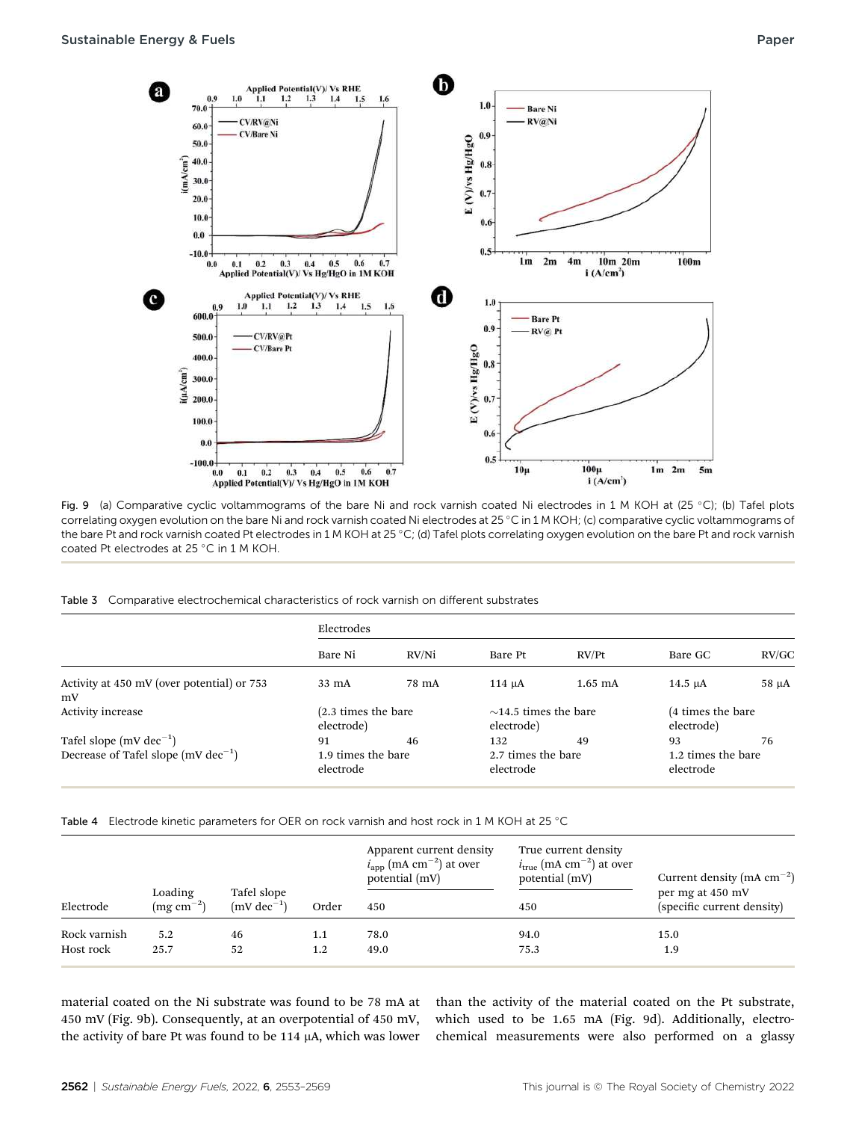

Fig. 9 (a) Comparative cyclic voltammograms of the bare Ni and rock varnish coated Ni electrodes in 1 M KOH at (25 °C); (b) Tafel plots correlating oxygen evolution on the bare Ni and rock varnish coated Ni electrodes at 25 °C in 1 M KOH; (c) comparative cyclic voltammograms of the bare Pt and rock varnish coated Pt electrodes in 1 M KOH at 25 °C; (d) Tafel plots correlating oxygen evolution on the bare Pt and rock varnish coated Pt electrodes at 25 °C in 1 M KOH.

Table 3 Comparative electrochemical characteristics of rock varnish on different substrates

|                                                  | Electrodes                      |       |                                          |           |                                 |       |
|--------------------------------------------------|---------------------------------|-------|------------------------------------------|-----------|---------------------------------|-------|
|                                                  | Bare Ni                         | RV/Ni | Bare Pt                                  | RV/Pt     | Bare GC                         | RV/GC |
| Activity at 450 mV (over potential) or 753<br>mV | 33 mA                           | 78 mA | $114 \mu A$                              | $1.65$ mA | $14.5 \mu A$                    | 58 µA |
| Activity increase                                | $(2.3 \times 1)$<br>electrode)  |       | $\sim$ 14.5 times the bare<br>electrode) |           | (4 times the bare<br>electrode) |       |
| Tafel slope $(mV dec^{-1})$                      | 91                              | 46    | 132                                      | 49        | 93                              | 76    |
| Decrease of Tafel slope $(mV dec^{-1})$          | 1.9 times the bare<br>electrode |       | 2.7 times the bare<br>electrode          |           | 1.2 times the bare<br>electrode |       |

Table 4 Electrode kinetic parameters for OER on rock varnish and host rock in 1 M KOH at 25 °C

|              |                               |                                        | Order   | Apparent current density<br>$iapp$ (mA cm <sup>-2</sup> ) at over<br>potential (mV) | True current density<br>$i_{true}$ (mA cm <sup>-2</sup> ) at over<br>potential (mV) | Current density (mA $cm^{-2}$ )                |  |
|--------------|-------------------------------|----------------------------------------|---------|-------------------------------------------------------------------------------------|-------------------------------------------------------------------------------------|------------------------------------------------|--|
| Electrode    | Loading<br>$\rm (mg~cm^{-2})$ | Tafel slope<br>$(mV \text{ dec}^{-1})$ |         | 450                                                                                 | 450                                                                                 | per mg at 450 mV<br>(specific current density) |  |
| Rock varnish | 5.2                           | 46                                     | 1.1     | 78.0                                                                                | 94.0                                                                                | 15.0                                           |  |
| Host rock    | 25.7                          | 52                                     | $1.2\,$ | 49.0                                                                                | 75.3                                                                                | 1.9                                            |  |
|              |                               |                                        |         |                                                                                     |                                                                                     |                                                |  |

material coated on the Ni substrate was found to be 78 mA at 450 mV (Fig. 9b). Consequently, at an overpotential of 450 mV, the activity of bare Pt was found to be 114  $\mu$ A, which was lower

than the activity of the material coated on the Pt substrate, which used to be 1.65 mA (Fig. 9d). Additionally, electrochemical measurements were also performed on a glassy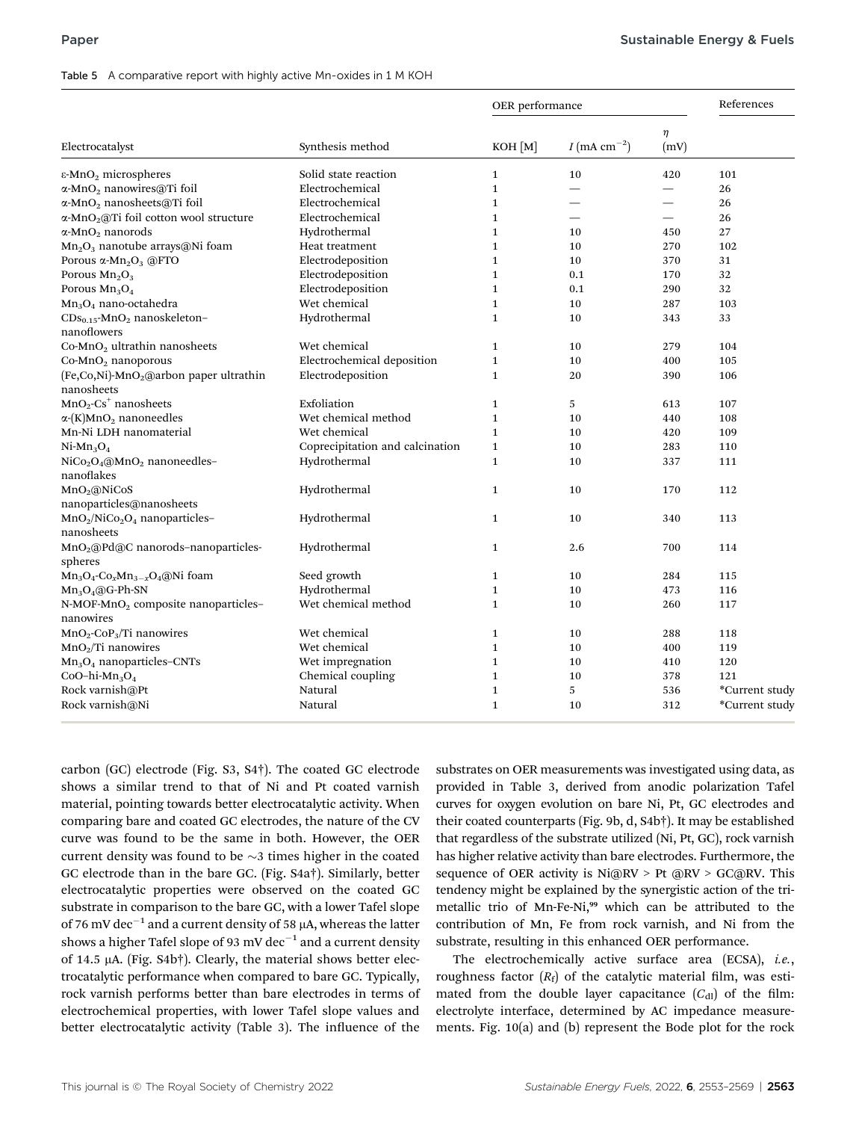#### Table 5 A comparative report with highly active Mn-oxides in 1 M KOH

|                                                                               |                                 | OER performance |                            |                          | References     |  |
|-------------------------------------------------------------------------------|---------------------------------|-----------------|----------------------------|--------------------------|----------------|--|
| Electrocatalyst                                                               | Synthesis method                | $KOH$ $[M]$     | $I$ (mA cm <sup>-2</sup> ) | $\eta$<br>(mV)           |                |  |
| $\epsilon$ -MnO <sub>2</sub> microspheres                                     | Solid state reaction            | $\mathbf{1}$    | 10                         | 420                      | 101            |  |
| α-MnO <sub>2</sub> nanowires@Ti foil                                          | Electrochemical                 | $\mathbf{1}$    |                            | $\overline{\phantom{0}}$ | 26             |  |
| α-MnO <sub>2</sub> nanosheets@Ti foil                                         | Electrochemical                 | $\mathbf{1}$    |                            |                          | 26             |  |
| $\alpha$ -MnO <sub>2</sub> (a)Ti foil cotton wool structure                   | Electrochemical                 | $\mathbf{1}$    |                            | $\overline{\phantom{0}}$ | 26             |  |
| $\alpha$ -MnO <sub>2</sub> nanorods                                           | Hydrothermal                    | $\mathbf{1}$    | 10                         | 450                      | 27             |  |
| Mn <sub>2</sub> O <sub>3</sub> nanotube arrays@Ni foam                        | Heat treatment                  | $\mathbf{1}$    | 10                         | 270                      | 102            |  |
| Porous $\alpha$ -Mn <sub>2</sub> O <sub>3</sub> @FTO                          | Electrodeposition               | $\mathbf{1}$    | 10                         | 370                      | 31             |  |
| Porous $Mn_2O_3$                                                              | Electrodeposition               | $\mathbf{1}$    | 0.1                        | 170                      | 32             |  |
| Porous $Mn_3O_4$                                                              | Electrodeposition               | $\mathbf{1}$    | 0.1                        | 290                      | 32             |  |
| $Mn_3O_4$ nano-octahedra                                                      | Wet chemical                    | $\mathbf{1}$    | 10                         | 287                      | 103            |  |
| $CDS_{0.15}$ -MnO <sub>2</sub> nanoskeleton-<br>nanoflowers                   | Hydrothermal                    | $\mathbf{1}$    | 10                         | 343                      | 33             |  |
| Co-MnO <sub>2</sub> ultrathin nanosheets                                      | Wet chemical                    | $\mathbf{1}$    | 10                         | 279                      | 104            |  |
| Co-MnO <sub>2</sub> nanoporous                                                | Electrochemical deposition      | $\mathbf 1$     | 10                         | 400                      | 105            |  |
| (Fe,Co,Ni)-MnO <sub>2</sub> @arbon paper ultrathin<br>nanosheets              | Electrodeposition               | $\mathbf{1}$    | 20                         | 390                      | 106            |  |
| $MnO2-Cs+ nanosheets$                                                         | Exfoliation                     | $\mathbf{1}$    | 5                          | 613                      | 107            |  |
| $\alpha$ -(K)MnO <sub>2</sub> nanoneedles                                     | Wet chemical method             | $\mathbf{1}$    | 10                         | 440                      | 108            |  |
| Mn-Ni LDH nanomaterial                                                        | Wet chemical                    | $\mathbf{1}$    | 10                         | 420                      | 109            |  |
| $Ni-Mn3O4$                                                                    | Coprecipitation and calcination | $\mathbf{1}$    | 10                         | 283                      | 110            |  |
| NiCo <sub>2</sub> O <sub>4</sub> @MnO <sub>2</sub> nanoneedles-<br>nanoflakes | Hydrothermal                    | $\mathbf{1}$    | 10                         | 337                      | 111            |  |
| MnO <sub>2</sub> @NiCoS<br>nanoparticles@nanosheets                           | Hydrothermal                    | $\mathbf{1}$    | 10                         | 170                      | 112            |  |
| $MnO_2/NiCo_2O_4$ nanoparticles-<br>nanosheets                                | Hydrothermal                    | $\mathbf{1}$    | 10                         | 340                      | 113            |  |
| MnO <sub>2</sub> @Pd@C nanorods-nanoparticles-<br>spheres                     | Hydrothermal                    | $\mathbf{1}$    | 2.6                        | 700                      | 114            |  |
| $Mn_3O_4$ -Co <sub>x</sub> Mn <sub>3-x</sub> O <sub>4</sub> @Ni foam          | Seed growth                     | $\mathbf{1}$    | 10                         | 284                      | 115            |  |
| $Mn_3O_4@G-Ph-SN$                                                             | Hydrothermal                    | $\mathbf{1}$    | 10                         | 473                      | 116            |  |
| N-MOF-MnO <sub>2</sub> composite nanoparticles-<br>nanowires                  | Wet chemical method             | $\mathbf{1}$    | 10                         | 260                      | 117            |  |
| $MnO_2$ -CoP <sub>3</sub> /Ti nanowires                                       | Wet chemical                    | $\mathbf{1}$    | 10                         | 288                      | 118            |  |
| $MnO2/Ti$ nanowires                                                           | Wet chemical                    | $\mathbf{1}$    | 10                         | 400                      | 119            |  |
| $Mn3O4$ nanoparticles-CNTs                                                    | Wet impregnation                | $\mathbf{1}$    | 10                         | 410                      | 120            |  |
| CoO-hi- $Mn_3O_4$                                                             | Chemical coupling               | $\mathbf{1}$    | 10                         | 378                      | 121            |  |
| Rock varnish@Pt                                                               | Natural                         | $\mathbf{1}$    | 5                          | 536                      | *Current study |  |
| Rock varnish@Ni                                                               | Natural                         | $\mathbf{1}$    | 10                         | 312                      | *Current study |  |

carbon (GC) electrode (Fig. S3, S4†). The coated GC electrode shows a similar trend to that of Ni and Pt coated varnish material, pointing towards better electrocatalytic activity. When comparing bare and coated GC electrodes, the nature of the CV curve was found to be the same in both. However, the OER current density was found to be  $\sim$ 3 times higher in the coated GC electrode than in the bare GC. (Fig. S4a†). Similarly, better electrocatalytic properties were observed on the coated GC substrate in comparison to the bare GC, with a lower Tafel slope of 76 mV dec<sup>-1</sup> and a current density of 58  $\mu$ A, whereas the latter shows a higher Tafel slope of 93 mV dec<sup>-1</sup> and a current density of 14.5  $\mu$ A. (Fig. S4b†). Clearly, the material shows better electrocatalytic performance when compared to bare GC. Typically, rock varnish performs better than bare electrodes in terms of electrochemical properties, with lower Tafel slope values and better electrocatalytic activity (Table 3). The influence of the substrates on OER measurements was investigated using data, as provided in Table 3, derived from anodic polarization Tafel curves for oxygen evolution on bare Ni, Pt, GC electrodes and their coated counterparts (Fig. 9b, d, S4b†). It may be established that regardless of the substrate utilized (Ni, Pt, GC), rock varnish has higher relative activity than bare electrodes. Furthermore, the sequence of OER activity is Ni@RV > Pt @RV > GC@RV. This tendency might be explained by the synergistic action of the trimetallic trio of Mn-Fe-Ni,<sup>99</sup> which can be attributed to the contribution of Mn, Fe from rock varnish, and Ni from the substrate, resulting in this enhanced OER performance.

The electrochemically active surface area (ECSA), *i.e.*, roughness factor  $(R_f)$  of the catalytic material film, was estimated from the double layer capacitance  $(C_{\text{dl}})$  of the film: electrolyte interface, determined by AC impedance measurements. Fig. 10(a) and (b) represent the Bode plot for the rock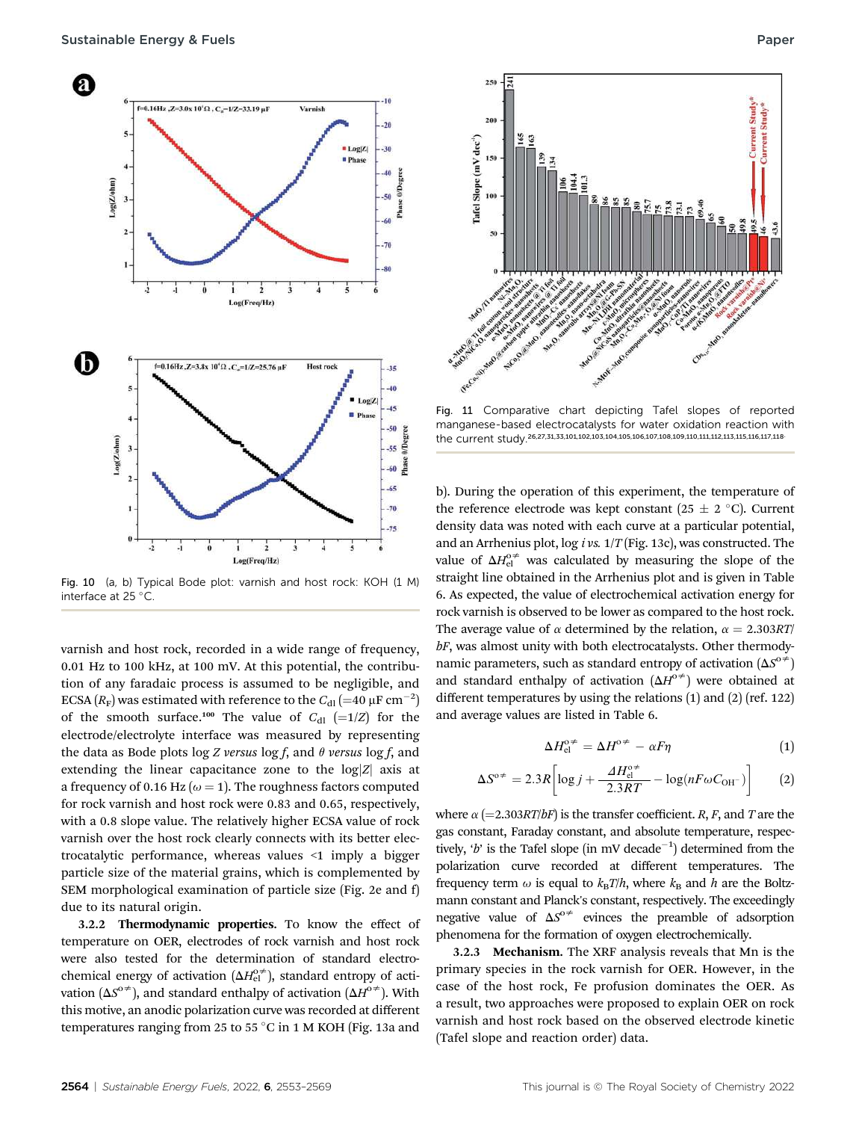

Fig. 10 (a, b) Typical Bode plot: varnish and host rock: KOH (1 M) interface at 25  $\degree$ C.

varnish and host rock, recorded in a wide range of frequency, 0.01 Hz to 100 kHz, at 100 mV. At this potential, the contribution of any faradaic process is assumed to be negligible, and ECSA  $(R_F)$  was estimated with reference to the  $C_{\text{dl}}$   $(=$  40  $\mu$ F cm<sup>-2</sup>) of the smooth surface.<sup>100</sup> The value of  $C_{d1}$  (=1/Z) for the electrode/electrolyte interface was measured by representing the data as Bode plots log Z versus log f, and  $\theta$  versus log f, and extending the linear capacitance zone to the  $log|Z|$  axis at a frequency of 0.16 Hz ( $\omega$  = 1). The roughness factors computed for rock varnish and host rock were 0.83 and 0.65, respectively, with a 0.8 slope value. The relatively higher ECSA value of rock varnish over the host rock clearly connects with its better electrocatalytic performance, whereas values <1 imply a bigger particle size of the material grains, which is complemented by SEM morphological examination of particle size (Fig. 2e and f) due to its natural origin.

3.2.2 Thermodynamic properties. To know the effect of temperature on OER, electrodes of rock varnish and host rock were also tested for the determination of standard electrochemical energy of activation  $(\Delta H_{\text{el}}^{o\neq})$ , standard entropy of activation ( $\Delta S^{\circ\neq}$ ), and standard enthalpy of activation ( $\Delta H^{\circ\neq}$ ). With this motive, an anodic polarization curve was recorded at different temperatures ranging from 25 to 55 °C in 1 M KOH (Fig. 13a and



Fig. 11 Comparative chart depicting Tafel slopes of reported manganese-based electrocatalysts for water oxidation reaction with the current study.<sup>26,27,31,33,101,102,103,104,105,106,107,108,109,110,111,112,113,115,116,117,118.</sup>

b). During the operation of this experiment, the temperature of the reference electrode was kept constant (25  $\pm$  2 °C). Current density data was noted with each curve at a particular potential, and an Arrhenius plot, log i vs.  $1/T$  (Fig. 13c), was constructed. The value of  $\Delta H_{\text{el}}^{\text{o}\neq}$  was calculated by measuring the slope of the straight line obtained in the Arrhenius plot and is given in Table 6. As expected, the value of electrochemical activation energy for rock varnish is observed to be lower as compared to the host rock. The average value of  $\alpha$  determined by the relation,  $\alpha = 2.303RT/$ bF, was almost unity with both electrocatalysts. Other thermodynamic parameters, such as standard entropy of activation  $(\Delta S^{\circ\neq})$ and standard enthalpy of activation  $(\Delta H^{\circ\neq})$  were obtained at different temperatures by using the relations (1) and (2) (ref. 122) and average values are listed in Table 6.

$$
\Delta H_{\rm el}^{\rm o}\dot{=} = \Delta H^{\rm o}\dot{=} - \alpha F \eta \tag{1}
$$

$$
\Delta S^{\circ \neq} = 2.3R \left[ \log j + \frac{\Delta H_{\text{el}}^{\circ \neq}}{2.3RT} - \log(nF \omega C_{\text{OH}^-}) \right] \tag{2}
$$

where  $\alpha$  (=2.303RT/bF) is the transfer coefficient. R, F, and T are the gas constant, Faraday constant, and absolute temperature, respectively, 'b' is the Tafel slope (in mV decade<sup>-1</sup>) determined from the polarization curve recorded at different temperatures. The frequency term  $\omega$  is equal to  $k_BT/h$ , where  $k_B$  and h are the Boltzmann constant and Planck's constant, respectively. The exceedingly negative value of  $\Delta S^{\circ}$  evinces the preamble of adsorption phenomena for the formation of oxygen electrochemically.

3.2.3 Mechanism. The XRF analysis reveals that Mn is the primary species in the rock varnish for OER. However, in the case of the host rock, Fe profusion dominates the OER. As a result, two approaches were proposed to explain OER on rock varnish and host rock based on the observed electrode kinetic (Tafel slope and reaction order) data.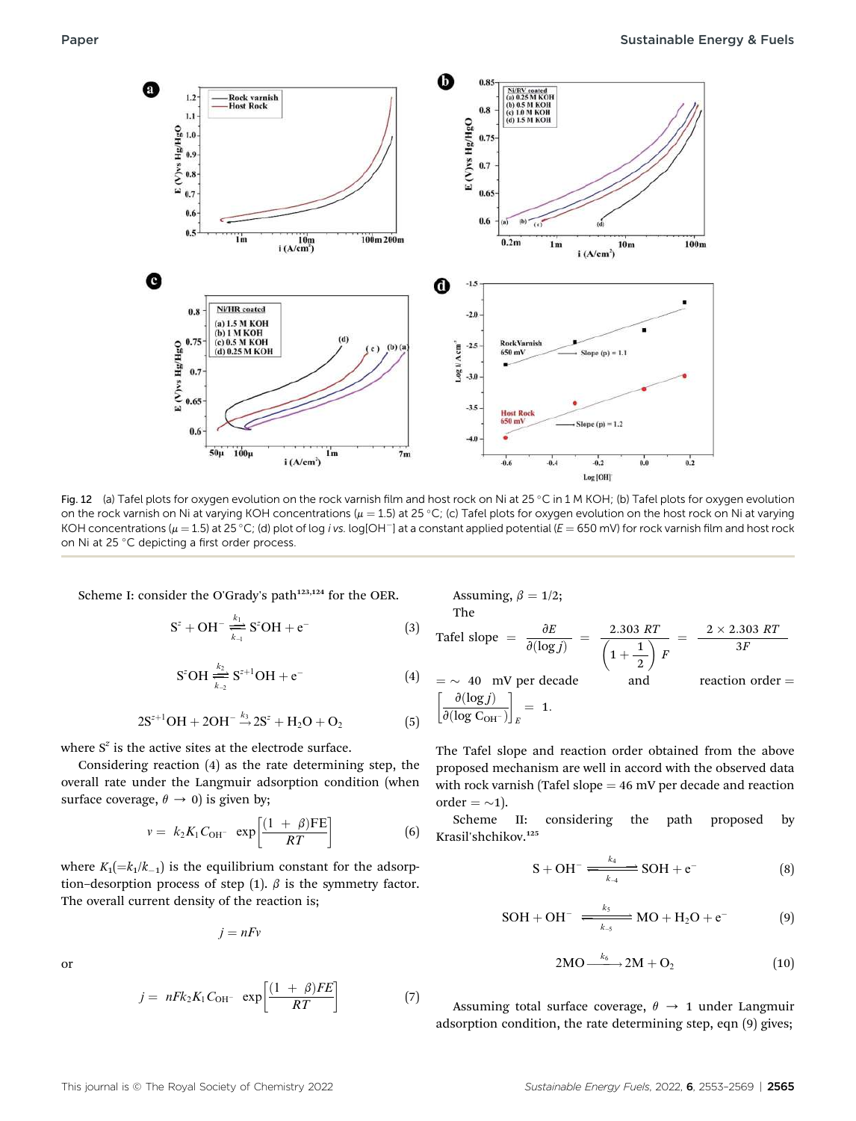

Fig. 12 (a) Tafel plots for oxygen evolution on the rock varnish film and host rock on Ni at 25 °C in 1 M KOH; (b) Tafel plots for oxygen evolution on the rock varnish on Ni at varying KOH concentrations ( $\mu = 1.5$ ) at 25 °C; (c) Tafel plots for oxygen evolution on the host rock on Ni at varying KOH concentrations ( $\mu = 1.5$ ) at 25 °C; (d) plot of log i vs. log[OH<sup>-</sup>] at a constant applied potential ( $E = 650$  mV) for rock varnish film and host rock on Ni at 25 °C depicting a first order process.

Scheme I: consider the O'Grady's path<sup>123,124</sup> for the OER.

$$
S^{z} + OH^{-} \xrightarrow[k_{\perp}]{k_{1}} S^{z}OH + e^{-}
$$
 (3)

$$
S^{z}OH \xrightarrow[k_{2}]{k_{2}} S^{z+1}OH + e^{-}
$$
 (4)

$$
2S^{z+1}OH + 2OH^{-} \xrightarrow{k_3} 2S^z + H_2O + O_2
$$
 (5)

where  $S^z$  is the active sites at the electrode surface.

Considering reaction (4) as the rate determining step, the overall rate under the Langmuir adsorption condition (when surface coverage,  $\theta \rightarrow 0$ ) is given by;

$$
v = k_2 K_1 C_{\text{OH}^-} \exp\left[\frac{(1+\beta)\text{FE}}{RT}\right]
$$
 (6)

where  $K_1(=k_1/k_{-1})$  is the equilibrium constant for the adsorption–desorption process of step (1).  $\beta$  is the symmetry factor. The overall current density of the reaction is;

$$
j=nFv
$$

or

$$
j = nFk_2K_1C_{\text{OH}} \exp\left[\frac{(1+\beta)FE}{RT}\right] \tag{7}
$$

Assuming,  $\beta = 1/2$ ; The Tafel slope =  $\frac{\partial E}{\partial (\log j)} = \frac{2.303 \text{ } RT}{\left(1 + \frac{1}{2}\right)}$ 2  $\Big)$  F  $2 \times 2.303 RT$ 

$$
= \sim 40 \text{ mV per decade} \qquad \text{and} \qquad \text{reaction order} = \left[\frac{\partial(\log j)}{\partial(\log C_{\text{OH}^{-}})}\right]_{E} = 1.
$$

The Tafel slope and reaction order obtained from the above proposed mechanism are well in accord with the observed data with rock varnish (Tafel slope  $=$  46 mV per decade and reaction

order =  $\sim$ 1).<br>Scheme II: considering the path proposed by Krasil'shchikov.<sup>125</sup>

$$
S + OH^- \xrightarrow[k_{4}]{k_4} SOH + e^-
$$
 (8)

3F

$$
SOH + OH^- \xrightarrow[k_5]{k_5} MO + H_2O + e^-
$$
 (9)

$$
2MO \stackrel{k_6}{\longrightarrow} 2M + O_2 \tag{10}
$$

Assuming total surface coverage,  $\theta \rightarrow 1$  under Langmuir adsorption condition, the rate determining step, eqn (9) gives;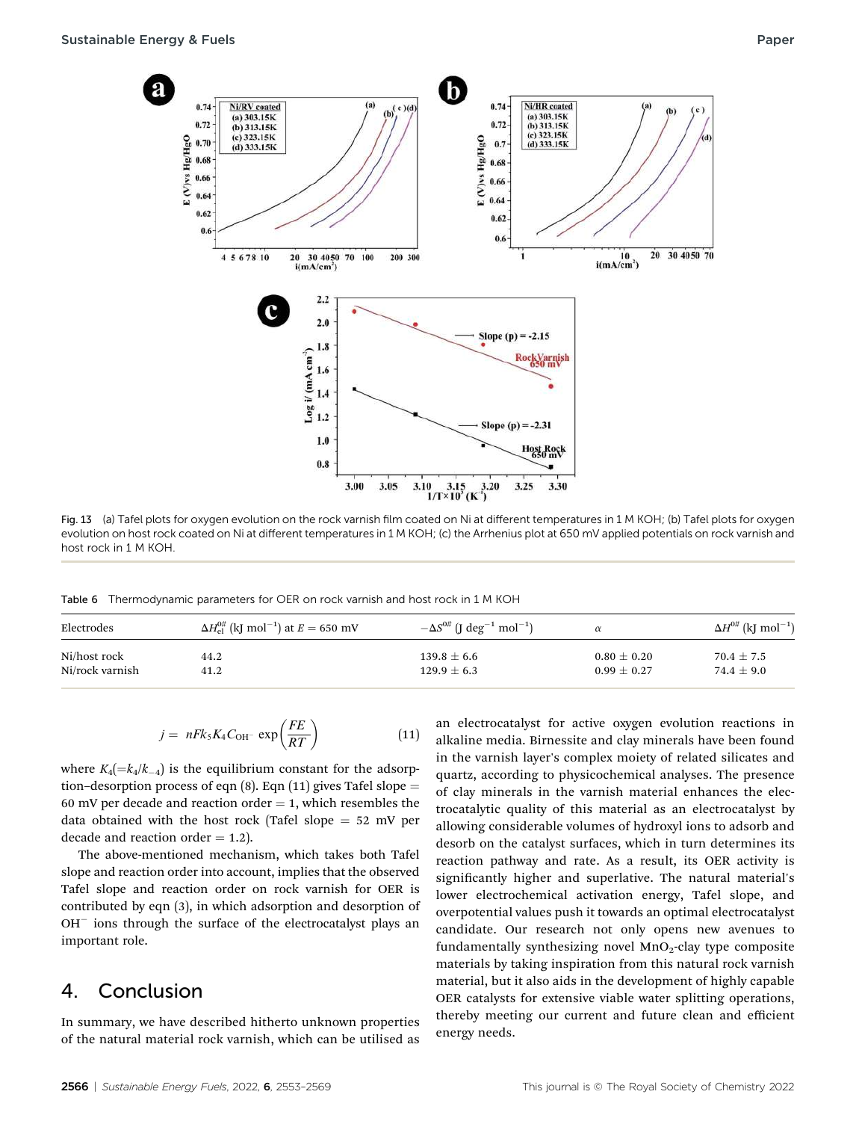

Fig. 13 (a) Tafel plots for oxygen evolution on the rock varnish film coated on Ni at different temperatures in 1 M KOH; (b) Tafel plots for oxygen evolution on host rock coated on Ni at different temperatures in 1 M KOH; (c) the Arrhenius plot at 650 mV applied potentials on rock varnish and host rock in 1 M KOH.

Table 6 Thermodynamic parameters for OER on rock varnish and host rock in 1 M KOH

| Electrodes      | $\Delta H_{\rm el}^{0\#}$ (kJ mol <sup>-1</sup> ) at $E = 650$ mV | $-\Delta S^{0\#}$ (J deg <sup>-1</sup> mol <sup>-1</sup> ) | $\alpha$        | $\Delta H^{0\#}$ (kJ mol <sup>-1</sup> ) |
|-----------------|-------------------------------------------------------------------|------------------------------------------------------------|-----------------|------------------------------------------|
| Ni/host rock    | 44.2                                                              | $139.8 \pm 6.6$                                            | $0.80 \pm 0.20$ | $70.4 \pm 7.5$                           |
| Ni/rock varnish | 41.2                                                              | $129.9 \pm 6.3$                                            | $0.99 \pm 0.27$ | 74.4 $\pm$ 9.0                           |

$$
j = nFk_5K_4C_{\text{OH}^-} \exp\left(\frac{FE}{RT}\right) \tag{11}
$$

where  $K_4(=k_4/k_{-4})$  is the equilibrium constant for the adsorption–desorption process of eqn  $(8)$ . Eqn  $(11)$  gives Tafel slope = 60 mV per decade and reaction order  $=$  1, which resembles the data obtained with the host rock (Tafel slope  $= 52$  mV per decade and reaction order  $= 1.2$ ).

The above-mentioned mechanism, which takes both Tafel slope and reaction order into account, implies that the observed Tafel slope and reaction order on rock varnish for OER is contributed by eqn (3), in which adsorption and desorption of OH<sup>-</sup> ions through the surface of the electrocatalyst plays an important role.

## 4. Conclusion

In summary, we have described hitherto unknown properties of the natural material rock varnish, which can be utilised as

an electrocatalyst for active oxygen evolution reactions in alkaline media. Birnessite and clay minerals have been found in the varnish layer's complex moiety of related silicates and quartz, according to physicochemical analyses. The presence of clay minerals in the varnish material enhances the electrocatalytic quality of this material as an electrocatalyst by allowing considerable volumes of hydroxyl ions to adsorb and desorb on the catalyst surfaces, which in turn determines its reaction pathway and rate. As a result, its OER activity is significantly higher and superlative. The natural material's lower electrochemical activation energy, Tafel slope, and overpotential values push it towards an optimal electrocatalyst candidate. Our research not only opens new avenues to fundamentally synthesizing novel  $MnO<sub>2</sub>$ -clay type composite materials by taking inspiration from this natural rock varnish material, but it also aids in the development of highly capable OER catalysts for extensive viable water splitting operations, thereby meeting our current and future clean and efficient energy needs.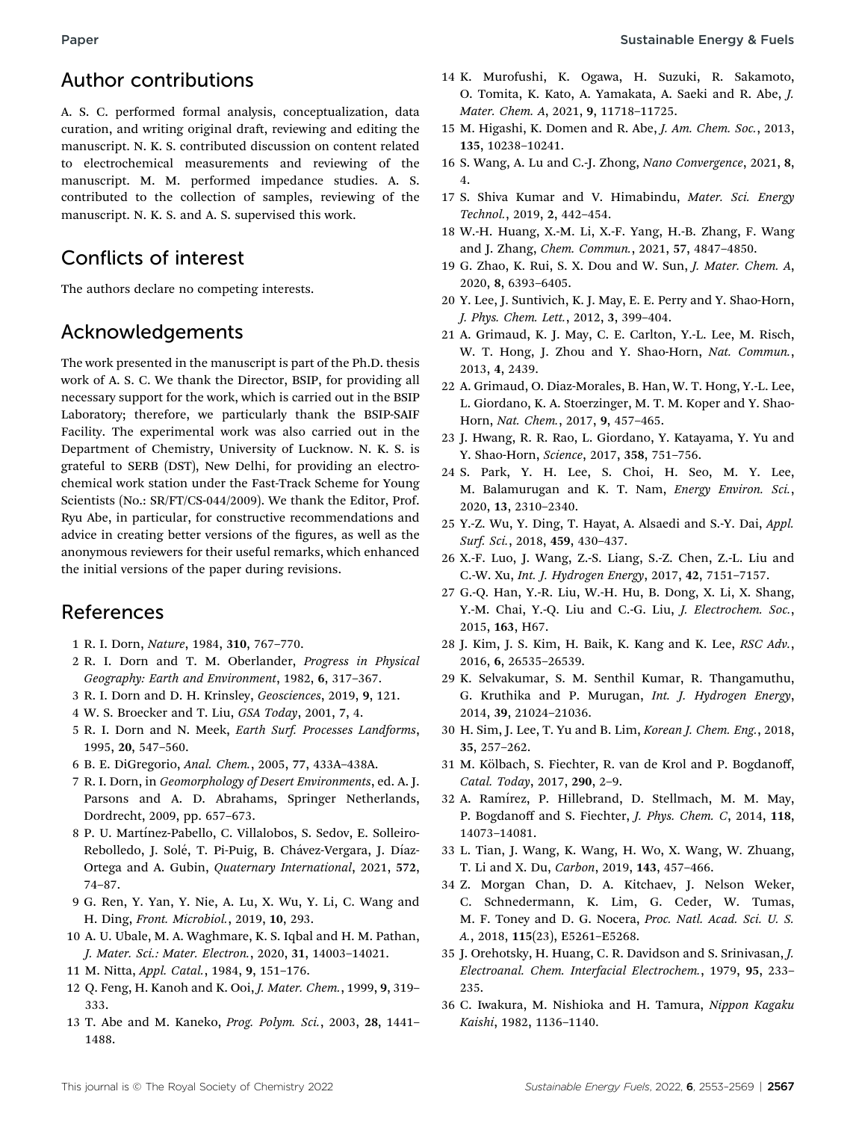## Author contributions

A. S. C. performed formal analysis, conceptualization, data curation, and writing original draft, reviewing and editing the manuscript. N. K. S. contributed discussion on content related to electrochemical measurements and reviewing of the manuscript. M. M. performed impedance studies. A. S. contributed to the collection of samples, reviewing of the manuscript. N. K. S. and A. S. supervised this work.

# Conflicts of interest

The authors declare no competing interests.

# Acknowledgements

The work presented in the manuscript is part of the Ph.D. thesis work of A. S. C. We thank the Director, BSIP, for providing all necessary support for the work, which is carried out in the BSIP Laboratory; therefore, we particularly thank the BSIP-SAIF Facility. The experimental work was also carried out in the Department of Chemistry, University of Lucknow. N. K. S. is grateful to SERB (DST), New Delhi, for providing an electrochemical work station under the Fast-Track Scheme for Young Scientists (No.: SR/FT/CS-044/2009). We thank the Editor, Prof. Ryu Abe, in particular, for constructive recommendations and advice in creating better versions of the figures, as well as the anonymous reviewers for their useful remarks, which enhanced the initial versions of the paper during revisions.

## References

- 1 R. I. Dorn, Nature, 1984, 310, 767–770.
- 2 R. I. Dorn and T. M. Oberlander, Progress in Physical Geography: Earth and Environment, 1982, 6, 317–367.
- 3 R. I. Dorn and D. H. Krinsley, Geosciences, 2019, 9, 121.
- 4 W. S. Broecker and T. Liu, GSA Today, 2001, 7, 4.
- 5 R. I. Dorn and N. Meek, Earth Surf. Processes Landforms, 1995, 20, 547–560.
- 6 B. E. DiGregorio, Anal. Chem., 2005, 77, 433A–438A.
- 7 R. I. Dorn, in Geomorphology of Desert Environments, ed. A. J. Parsons and A. D. Abrahams, Springer Netherlands, Dordrecht, 2009, pp. 657–673.
- 8 P. U. Martínez-Pabello, C. Villalobos, S. Sedov, E. Solleiro-Rebolledo, J. Solé, T. Pi-Puig, B. Chávez-Vergara, J. Díaz-Ortega and A. Gubin, Quaternary International, 2021, 572, 74–87.
- 9 G. Ren, Y. Yan, Y. Nie, A. Lu, X. Wu, Y. Li, C. Wang and H. Ding, Front. Microbiol., 2019, 10, 293.
- 10 A. U. Ubale, M. A. Waghmare, K. S. Iqbal and H. M. Pathan, J. Mater. Sci.: Mater. Electron., 2020, 31, 14003–14021.
- 11 M. Nitta, Appl. Catal., 1984, 9, 151–176.
- 12 Q. Feng, H. Kanoh and K. Ooi, J. Mater. Chem., 1999, 9, 319– 333.
- 13 T. Abe and M. Kaneko, Prog. Polym. Sci., 2003, 28, 1441– 1488.
- 14 K. Murofushi, K. Ogawa, H. Suzuki, R. Sakamoto, O. Tomita, K. Kato, A. Yamakata, A. Saeki and R. Abe, J. Mater. Chem. A, 2021, 9, 11718–11725.
- 15 M. Higashi, K. Domen and R. Abe, J. Am. Chem. Soc., 2013, 135, 10238–10241.
- 16 S. Wang, A. Lu and C.-J. Zhong, Nano Convergence, 2021, 8, 4.
- 17 S. Shiva Kumar and V. Himabindu, Mater. Sci. Energy Technol., 2019, 2, 442–454.
- 18 W.-H. Huang, X.-M. Li, X.-F. Yang, H.-B. Zhang, F. Wang and J. Zhang, Chem. Commun., 2021, 57, 4847–4850.
- 19 G. Zhao, K. Rui, S. X. Dou and W. Sun, J. Mater. Chem. A, 2020, 8, 6393–6405.
- 20 Y. Lee, J. Suntivich, K. J. May, E. E. Perry and Y. Shao-Horn, J. Phys. Chem. Lett., 2012, 3, 399–404.
- 21 A. Grimaud, K. J. May, C. E. Carlton, Y.-L. Lee, M. Risch, W. T. Hong, J. Zhou and Y. Shao-Horn, Nat. Commun., 2013, 4, 2439.
- 22 A. Grimaud, O. Diaz-Morales, B. Han, W. T. Hong, Y.-L. Lee, L. Giordano, K. A. Stoerzinger, M. T. M. Koper and Y. Shao-Horn, Nat. Chem., 2017, 9, 457–465.
- 23 J. Hwang, R. R. Rao, L. Giordano, Y. Katayama, Y. Yu and Y. Shao-Horn, Science, 2017, 358, 751–756.
- 24 S. Park, Y. H. Lee, S. Choi, H. Seo, M. Y. Lee, M. Balamurugan and K. T. Nam, Energy Environ. Sci., 2020, 13, 2310–2340.
- 25 Y.-Z. Wu, Y. Ding, T. Hayat, A. Alsaedi and S.-Y. Dai, Appl. Surf. Sci., 2018, 459, 430–437.
- 26 X.-F. Luo, J. Wang, Z.-S. Liang, S.-Z. Chen, Z.-L. Liu and C.-W. Xu, Int. J. Hydrogen Energy, 2017, 42, 7151–7157.
- 27 G.-Q. Han, Y.-R. Liu, W.-H. Hu, B. Dong, X. Li, X. Shang, Y.-M. Chai, Y.-Q. Liu and C.-G. Liu, J. Electrochem. Soc., 2015, 163, H67.
- 28 J. Kim, J. S. Kim, H. Baik, K. Kang and K. Lee, RSC Adv., 2016, 6, 26535–26539.
- 29 K. Selvakumar, S. M. Senthil Kumar, R. Thangamuthu, G. Kruthika and P. Murugan, Int. J. Hydrogen Energy, 2014, 39, 21024–21036.
- 30 H. Sim, J. Lee, T. Yu and B. Lim, Korean J. Chem. Eng., 2018, 35, 257–262.
- 31 M. Kölbach, S. Fiechter, R. van de Krol and P. Bogdanoff, Catal. Today, 2017, 290, 2–9.
- 32 A. Ramírez, P. Hillebrand, D. Stellmach, M. M. May, P. Bogdanoff and S. Fiechter, J. Phys. Chem. C, 2014, 118, 14073–14081.
- 33 L. Tian, J. Wang, K. Wang, H. Wo, X. Wang, W. Zhuang, T. Li and X. Du, Carbon, 2019, 143, 457–466.
- 34 Z. Morgan Chan, D. A. Kitchaev, J. Nelson Weker, C. Schnedermann, K. Lim, G. Ceder, W. Tumas, M. F. Toney and D. G. Nocera, Proc. Natl. Acad. Sci. U. S. A., 2018, 115(23), E5261–E5268.
- 35 J. Orehotsky, H. Huang, C. R. Davidson and S. Srinivasan, J. Electroanal. Chem. Interfacial Electrochem., 1979, 95, 233– 235.
- 36 C. Iwakura, M. Nishioka and H. Tamura, Nippon Kagaku Kaishi, 1982, 1136–1140.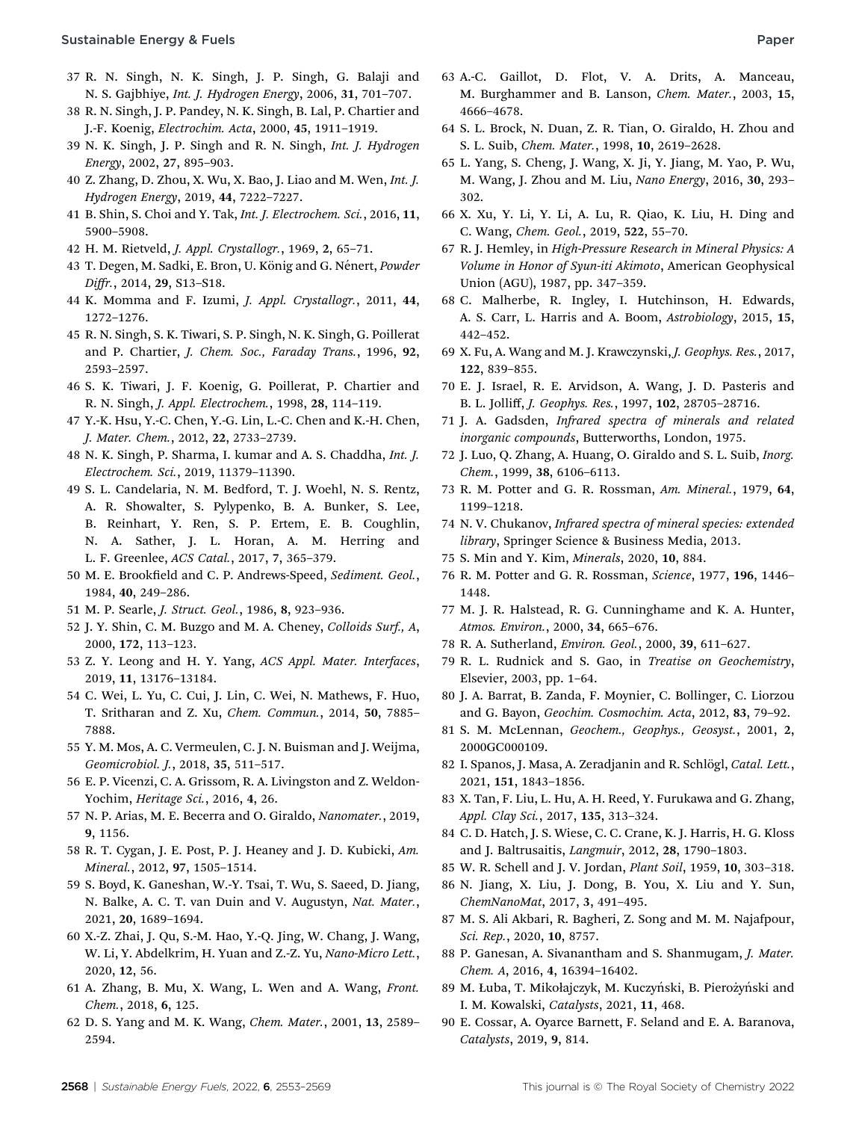- 37 R. N. Singh, N. K. Singh, J. P. Singh, G. Balaji and N. S. Gajbhiye, Int. J. Hydrogen Energy, 2006, 31, 701–707.
- 38 R. N. Singh, J. P. Pandey, N. K. Singh, B. Lal, P. Chartier and J.-F. Koenig, Electrochim. Acta, 2000, 45, 1911–1919.
- 39 N. K. Singh, J. P. Singh and R. N. Singh, Int. J. Hydrogen Energy, 2002, 27, 895–903.
- 40 Z. Zhang, D. Zhou, X. Wu, X. Bao, J. Liao and M. Wen, Int. J. Hydrogen Energy, 2019, 44, 7222–7227.
- 41 B. Shin, S. Choi and Y. Tak, Int. J. Electrochem. Sci., 2016, 11, 5900–5908.
- 42 H. M. Rietveld, J. Appl. Crystallogr., 1969, 2, 65–71.
- 43 T. Degen, M. Sadki, E. Bron, U. König and G. Nénert, Powder Diffr., 2014, 29, S13–S18.
- 44 K. Momma and F. Izumi, J. Appl. Crystallogr., 2011, 44, 1272–1276.
- 45 R. N. Singh, S. K. Tiwari, S. P. Singh, N. K. Singh, G. Poillerat and P. Chartier, J. Chem. Soc., Faraday Trans., 1996, 92, 2593–2597.
- 46 S. K. Tiwari, J. F. Koenig, G. Poillerat, P. Chartier and R. N. Singh, J. Appl. Electrochem., 1998, 28, 114–119.
- 47 Y.-K. Hsu, Y.-C. Chen, Y.-G. Lin, L.-C. Chen and K.-H. Chen, J. Mater. Chem., 2012, 22, 2733–2739.
- 48 N. K. Singh, P. Sharma, I. kumar and A. S. Chaddha, Int. J. Electrochem. Sci., 2019, 11379–11390.
- 49 S. L. Candelaria, N. M. Bedford, T. J. Woehl, N. S. Rentz, A. R. Showalter, S. Pylypenko, B. A. Bunker, S. Lee, B. Reinhart, Y. Ren, S. P. Ertem, E. B. Coughlin, N. A. Sather, J. L. Horan, A. M. Herring and L. F. Greenlee, ACS Catal., 2017, 7, 365–379.
- 50 M. E. Brookfield and C. P. Andrews-Speed, Sediment. Geol., 1984, 40, 249–286.
- 51 M. P. Searle, J. Struct. Geol., 1986, 8, 923–936.
- 52 J. Y. Shin, C. M. Buzgo and M. A. Cheney, Colloids Surf., A, 2000, 172, 113–123.
- 53 Z. Y. Leong and H. Y. Yang, ACS Appl. Mater. Interfaces, 2019, 11, 13176–13184.
- 54 C. Wei, L. Yu, C. Cui, J. Lin, C. Wei, N. Mathews, F. Huo, T. Sritharan and Z. Xu, Chem. Commun., 2014, 50, 7885– 7888.
- 55 Y. M. Mos, A. C. Vermeulen, C. J. N. Buisman and J. Weijma, Geomicrobiol. J., 2018, 35, 511–517.
- 56 E. P. Vicenzi, C. A. Grissom, R. A. Livingston and Z. Weldon-Yochim, Heritage Sci., 2016, 4, 26.
- 57 N. P. Arias, M. E. Becerra and O. Giraldo, Nanomater., 2019, 9, 1156.
- 58 R. T. Cygan, J. E. Post, P. J. Heaney and J. D. Kubicki, Am. Mineral., 2012, 97, 1505–1514.
- 59 S. Boyd, K. Ganeshan, W.-Y. Tsai, T. Wu, S. Saeed, D. Jiang, N. Balke, A. C. T. van Duin and V. Augustyn, Nat. Mater., 2021, 20, 1689–1694.
- 60 X.-Z. Zhai, J. Qu, S.-M. Hao, Y.-Q. Jing, W. Chang, J. Wang, W. Li, Y. Abdelkrim, H. Yuan and Z.-Z. Yu, Nano-Micro Lett., 2020, 12, 56.
- 61 A. Zhang, B. Mu, X. Wang, L. Wen and A. Wang, Front. Chem., 2018, 6, 125.
- 62 D. S. Yang and M. K. Wang, Chem. Mater., 2001, 13, 2589– 2594.
- 63 A.-C. Gaillot, D. Flot, V. A. Drits, A. Manceau, M. Burghammer and B. Lanson, Chem. Mater., 2003, 15, 4666–4678.
- 64 S. L. Brock, N. Duan, Z. R. Tian, O. Giraldo, H. Zhou and S. L. Suib, Chem. Mater., 1998, 10, 2619–2628.
- 65 L. Yang, S. Cheng, J. Wang, X. Ji, Y. Jiang, M. Yao, P. Wu, M. Wang, J. Zhou and M. Liu, Nano Energy, 2016, 30, 293– 302.
- 66 X. Xu, Y. Li, Y. Li, A. Lu, R. Qiao, K. Liu, H. Ding and C. Wang, Chem. Geol., 2019, 522, 55–70.
- 67 R. J. Hemley, in High-Pressure Research in Mineral Physics: A Volume in Honor of Syun-iti Akimoto, American Geophysical Union (AGU), 1987, pp. 347–359.
- 68 C. Malherbe, R. Ingley, I. Hutchinson, H. Edwards, A. S. Carr, L. Harris and A. Boom, Astrobiology, 2015, 15, 442–452.
- 69 X. Fu, A. Wang and M. J. Krawczynski, J. Geophys. Res., 2017, 122, 839–855.
- 70 E. J. Israel, R. E. Arvidson, A. Wang, J. D. Pasteris and B. L. Jolliff, J. Geophys. Res., 1997, 102, 28705–28716.
- 71 J. A. Gadsden, Infrared spectra of minerals and related inorganic compounds, Butterworths, London, 1975.
- 72 J. Luo, Q. Zhang, A. Huang, O. Giraldo and S. L. Suib, Inorg. Chem., 1999, 38, 6106–6113.
- 73 R. M. Potter and G. R. Rossman, Am. Mineral., 1979, 64, 1199–1218.
- 74 N. V. Chukanov, Infrared spectra of mineral species: extended library, Springer Science & Business Media, 2013.
- 75 S. Min and Y. Kim, Minerals, 2020, 10, 884.
- 76 R. M. Potter and G. R. Rossman, Science, 1977, 196, 1446– 1448.
- 77 M. J. R. Halstead, R. G. Cunninghame and K. A. Hunter, Atmos. Environ., 2000, 34, 665–676.
- 78 R. A. Sutherland, Environ. Geol., 2000, 39, 611–627.
- 79 R. L. Rudnick and S. Gao, in Treatise on Geochemistry, Elsevier, 2003, pp. 1–64.
- 80 J. A. Barrat, B. Zanda, F. Moynier, C. Bollinger, C. Liorzou and G. Bayon, Geochim. Cosmochim. Acta, 2012, 83, 79–92.
- 81 S. M. McLennan, Geochem., Geophys., Geosyst., 2001, 2, 2000GC000109.
- 82 I. Spanos, J. Masa, A. Zeradjanin and R. Schlögl, Catal. Lett., 2021, 151, 1843–1856.
- 83 X. Tan, F. Liu, L. Hu, A. H. Reed, Y. Furukawa and G. Zhang, Appl. Clay Sci., 2017, 135, 313–324.
- 84 C. D. Hatch, J. S. Wiese, C. C. Crane, K. J. Harris, H. G. Kloss and J. Baltrusaitis, Langmuir, 2012, 28, 1790–1803.
- 85 W. R. Schell and J. V. Jordan, Plant Soil, 1959, 10, 303–318.
- 86 N. Jiang, X. Liu, J. Dong, B. You, X. Liu and Y. Sun, ChemNanoMat, 2017, 3, 491–495.
- 87 M. S. Ali Akbari, R. Bagheri, Z. Song and M. M. Najafpour, Sci. Rep., 2020, 10, 8757.
- 88 P. Ganesan, A. Sivanantham and S. Shanmugam, J. Mater. Chem. A, 2016, 4, 16394–16402.
- 89 M. Łuba, T. Mikołajczyk, M. Kuczyński, B. Pierożyński and I. M. Kowalski, Catalysts, 2021, 11, 468.
- 90 E. Cossar, A. Oyarce Barnett, F. Seland and E. A. Baranova, Catalysts, 2019, 9, 814.